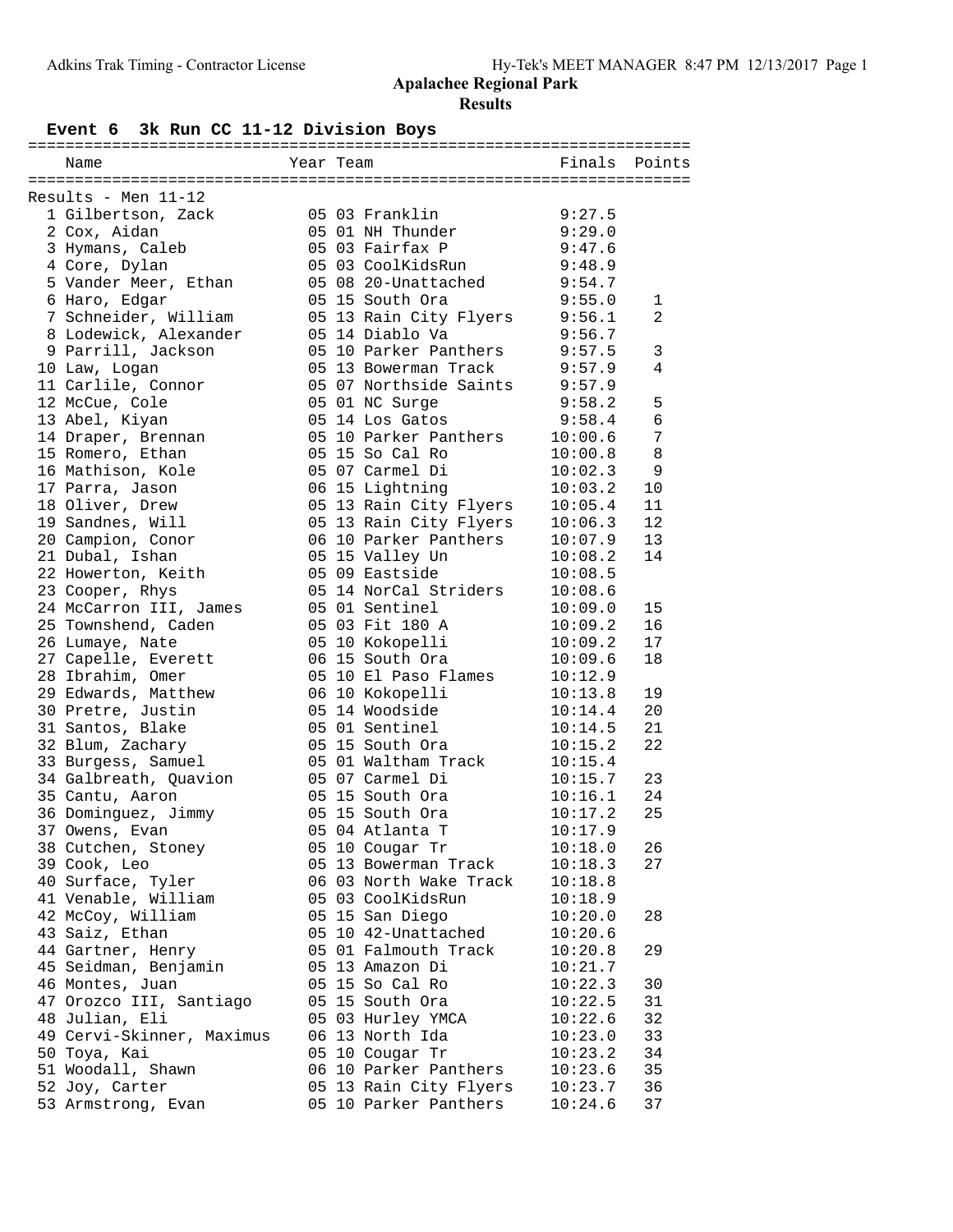# **Event 6 3k Run CC 11-12 Division Boys**

| Name                      | Year Team |                        | Finals  | Points          |
|---------------------------|-----------|------------------------|---------|-----------------|
|                           |           |                        |         |                 |
| Results - Men 11-12       |           |                        |         |                 |
| 1 Gilbertson, Zack        |           | 05 03 Franklin         | 9:27.5  |                 |
| 2 Cox, Aidan              |           | 05 01 NH Thunder       | 9:29.0  |                 |
| 3 Hymans, Caleb           |           | 05 03 Fairfax P        | 9:47.6  |                 |
| 4 Core, Dylan             |           | 05 03 CoolKidsRun      | 9:48.9  |                 |
| 5 Vander Meer, Ethan      |           | 05 08 20-Unattached    | 9:54.7  |                 |
| 6 Haro, Edgar             |           | 05 15 South Ora        | 9:55.0  | 1               |
| 7 Schneider, William      |           | 05 13 Rain City Flyers | 9:56.1  | $\overline{2}$  |
| 8 Lodewick, Alexander     |           | 05 14 Diablo Va        | 9:56.7  |                 |
| 9 Parrill, Jackson        |           | 05 10 Parker Panthers  | 9:57.5  | $\mathbf{3}$    |
| 10 Law, Logan             |           | 05 13 Bowerman Track   | 9:57.9  | 4               |
| 11 Carlile, Connor        |           | 05 07 Northside Saints | 9:57.9  |                 |
| 12 McCue, Cole            |           | 05 01 NC Surge         | 9:58.2  | 5               |
| 13 Abel, Kiyan            |           | 05 14 Los Gatos        | 9:58.4  | $\epsilon$      |
| 14 Draper, Brennan        |           | 05 10 Parker Panthers  | 10:00.6 | $7\phantom{.0}$ |
| 15 Romero, Ethan          |           | 05 15 So Cal Ro        | 10:00.8 | 8               |
| 16 Mathison, Kole         |           | 05 07 Carmel Di        | 10:02.3 | 9               |
| 17 Parra, Jason           |           | 06 15 Lightning        | 10:03.2 | 10              |
| 18 Oliver, Drew           |           | 05 13 Rain City Flyers | 10:05.4 | 11              |
| 19 Sandnes, Will          |           | 05 13 Rain City Flyers | 10:06.3 | 12              |
| 20 Campion, Conor         |           | 06 10 Parker Panthers  | 10:07.9 | 13              |
| 21 Dubal, Ishan           |           | 05 15 Valley Un        | 10:08.2 | 14              |
| 22 Howerton, Keith        |           | 05 09 Eastside         | 10:08.5 |                 |
|                           |           | 05 14 NorCal Striders  | 10:08.6 |                 |
| 23 Cooper, Rhys           |           |                        |         |                 |
| 24 McCarron III, James    |           | 05 01 Sentinel         | 10:09.0 | 15<br>16        |
| 25 Townshend, Caden       |           | 05 03 Fit 180 A        | 10:09.2 |                 |
| 26 Lumaye, Nate           |           | 05 10 Kokopelli        | 10:09.2 | 17              |
| 27 Capelle, Everett       |           | 06 15 South Ora        | 10:09.6 | 18              |
| 28 Ibrahim, Omer          |           | 05 10 El Paso Flames   | 10:12.9 |                 |
| 29 Edwards, Matthew       |           | 06 10 Kokopelli        | 10:13.8 | 19              |
| 30 Pretre, Justin         |           | 05 14 Woodside         | 10:14.4 | 20              |
| 31 Santos, Blake          |           | 05 01 Sentinel         | 10:14.5 | 21              |
| 32 Blum, Zachary          |           | 05 15 South Ora        | 10:15.2 | 22              |
| 33 Burgess, Samuel        |           | 05 01 Waltham Track    | 10:15.4 |                 |
| 34 Galbreath, Quavion     |           | 05 07 Carmel Di        | 10:15.7 | 23              |
| 35 Cantu, Aaron           |           | 05 15 South Ora        | 10:16.1 | 24              |
| 36 Dominguez, Jimmy       |           | 05 15 South Ora        | 10:17.2 | 25              |
| 37 Owens, Evan            |           | 05 04 Atlanta T        | 10:17.9 |                 |
| 38 Cutchen, Stoney        |           | 05 10 Cougar Tr        | 10:18.0 | 26              |
| 39 Cook, Leo              |           | 05 13 Bowerman Track   | 10:18.3 | 27              |
| 40 Surface, Tyler         |           | 06 03 North Wake Track | 10:18.8 |                 |
| 41 Venable, William       |           | 05 03 CoolKidsRun      | 10:18.9 |                 |
| 42 McCoy, William         |           | 05 15 San Diego        | 10:20.0 | 28              |
| 43 Saiz, Ethan            |           | 05 10 42-Unattached    | 10:20.6 |                 |
| 44 Gartner, Henry         |           | 05 01 Falmouth Track   | 10:20.8 | 29              |
| 45 Seidman, Benjamin      |           | 05 13 Amazon Di        | 10:21.7 |                 |
| 46 Montes, Juan           |           | 05 15 So Cal Ro        | 10:22.3 | 30              |
| 47 Orozco III, Santiago   |           | 05 15 South Ora        | 10:22.5 | 31              |
| 48 Julian, Eli            |           | 05 03 Hurley YMCA      | 10:22.6 | 32              |
| 49 Cervi-Skinner, Maximus |           | 06 13 North Ida        | 10:23.0 | 33              |
| 50 Toya, Kai              |           | 05 10 Cougar Tr        | 10:23.2 | 34              |
| 51 Woodall, Shawn         |           | 06 10 Parker Panthers  | 10:23.6 | 35              |
| 52 Joy, Carter            |           | 05 13 Rain City Flyers | 10:23.7 | 36              |
| 53 Armstrong, Evan        |           | 05 10 Parker Panthers  | 10:24.6 | 37              |
|                           |           |                        |         |                 |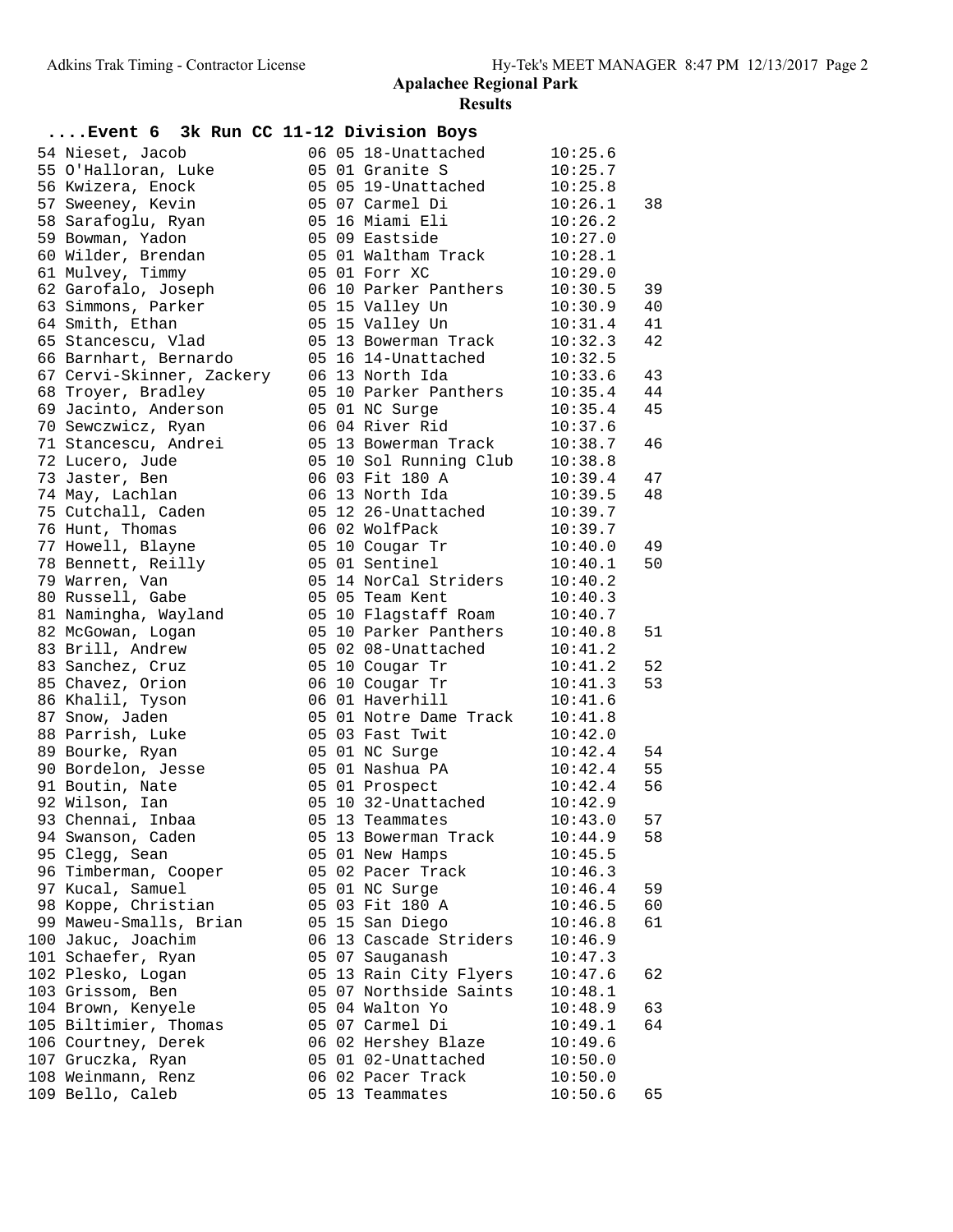| Event 6 3k Run CC 11-12 Division Boys |  |                        |              |    |
|---------------------------------------|--|------------------------|--------------|----|
| 54 Nieset, Jacob                      |  | 06 05 18-Unattached    | 10:25.6      |    |
| 55 O'Halloran, Luke                   |  | 05 01 Granite S        | 10:25.7      |    |
| 56 Kwizera, Enock                     |  | 05 05 19-Unattached    | 10:25.8      |    |
| 57 Sweeney, Kevin                     |  | 05 07 Carmel Di        | 10:26.1      | 38 |
| 58 Sarafoglu, Ryan                    |  | 05 16 Miami Eli        | 10:26.2      |    |
| 59 Bowman, Yadon                      |  | 05 09 Eastside         | 10:27.0      |    |
| 60 Wilder, Brendan                    |  | 05 01 Waltham Track    | 10:28.1      |    |
| 61 Mulvey, Timmy                      |  | 05 01 Forr XC          | 10:29.0      |    |
| 62 Garofalo, Joseph                   |  | 06 10 Parker Panthers  | 10:30.5      | 39 |
| 63 Simmons, Parker                    |  | 05 15 Valley Un        | 10:30.9      | 40 |
| 64 Smith, Ethan                       |  | 05 15 Valley Un        | 10:31.4      | 41 |
| 65 Stancescu, Vlad                    |  | 05 13 Bowerman Track   | 10:32.3      | 42 |
| 66 Barnhart, Bernardo                 |  | 05 16 14-Unattached    | 10:32.5      |    |
| 67 Cervi-Skinner, Zackery             |  | 06 13 North Ida        | 10:33.6      | 43 |
| 68 Troyer, Bradley                    |  | 05 10 Parker Panthers  | 10:35.4      | 44 |
| 69 Jacinto, Anderson                  |  | 05 01 NC Surge         | 10:35.4      | 45 |
| 70 Sewczwicz, Ryan                    |  | 06 04 River Rid        | 10:37.6      |    |
| 71 Stancescu, Andrei                  |  | 05 13 Bowerman Track   | 10:38.7      | 46 |
| 72 Lucero, Jude                       |  | 05 10 Sol Running Club | 10:38.8      |    |
| 73 Jaster, Ben                        |  | 06 03 Fit 180 A        | 10:39.4      | 47 |
| 74 May, Lachlan                       |  | 06 13 North Ida        | 10:39.5      | 48 |
| 75 Cutchall, Caden                    |  | 05 12 26-Unattached    | 10:39.7      |    |
| 76 Hunt, Thomas                       |  | 06 02 WolfPack         | 10:39.7      |    |
| 77 Howell, Blayne                     |  | 05 10 Cougar Tr        | 10:40.0      | 49 |
| 78 Bennett, Reilly                    |  | 05 01 Sentinel         | 10:40.1      | 50 |
| 79 Warren, Van                        |  | 05 14 NorCal Striders  | 10:40.2      |    |
| 80 Russell, Gabe                      |  | 05 05 Team Kent        | 10:40.3      |    |
| 81 Namingha, Wayland                  |  | 05 10 Flagstaff Roam   | 10:40.7      |    |
| 82 McGowan, Logan                     |  | 05 10 Parker Panthers  | 10:40.8      | 51 |
| 83 Brill, Andrew                      |  | 05 02 08-Unattached    | 10:41.2      |    |
| 83 Sanchez, Cruz                      |  | 05 10 Cougar Tr        | 10:41.2      | 52 |
| 85 Chavez, Orion                      |  | 06 10 Cougar Tr        | 10:41.3      | 53 |
| 86 Khalil, Tyson                      |  | 06 01 Haverhill        | 10:41.6      |    |
| 87 Snow, Jaden                        |  | 05 01 Notre Dame Track | 10:41.8      |    |
| 88 Parrish, Luke                      |  | 05 03 Fast Twit        | 10:42.0      |    |
| 89 Bourke, Ryan                       |  | 05 01 NC Surge         | 10:42.4      | 54 |
| 90 Bordelon, Jesse                    |  | 05 01 Nashua PA        | 10:42.4      | 55 |
| 91 Boutin, Nate                       |  | 05 01 Prospect         | 10:42.4      | 56 |
| 92 Wilson, Ian                        |  | 05 10 32-Unattached    | 10:42.9      |    |
| 93 Chennai, Inbaa                     |  | 05 13 Teammates        | $10:43.0$ 57 |    |
| 94 Swanson, Caden                     |  | 05 13 Bowerman Track   | 10:44.9      | 58 |
| 95 Clegg, Sean                        |  | 05 01 New Hamps        | 10:45.5      |    |
| 96 Timberman, Cooper                  |  | 05 02 Pacer Track      | 10:46.3      |    |
| 97 Kucal, Samuel                      |  | 05 01 NC Surge         | 10:46.4      | 59 |
| 98 Koppe, Christian                   |  | 05 03 Fit 180 A        | 10:46.5      | 60 |
| 99 Maweu-Smalls, Brian                |  | 05 15 San Diego        | 10:46.8      | 61 |
| 100 Jakuc, Joachim                    |  | 06 13 Cascade Striders | 10:46.9      |    |
| 101 Schaefer, Ryan                    |  | 05 07 Sauganash        | 10:47.3      |    |
| 102 Plesko, Logan                     |  | 05 13 Rain City Flyers | 10:47.6      | 62 |
| 103 Grissom, Ben                      |  | 05 07 Northside Saints | 10:48.1      |    |
| 104 Brown, Kenyele                    |  | 05 04 Walton Yo        | 10:48.9      | 63 |
| 105 Biltimier, Thomas                 |  | 05 07 Carmel Di        | 10:49.1      | 64 |
| 106 Courtney, Derek                   |  | 06 02 Hershey Blaze    | 10:49.6      |    |
| 107 Gruczka, Ryan                     |  | 05 01 02-Unattached    | 10:50.0      |    |
| 108 Weinmann, Renz                    |  | 06 02 Pacer Track      | 10:50.0      |    |
| 109 Bello, Caleb                      |  | 05 13 Teammates        | 10:50.6      | 65 |
|                                       |  |                        |              |    |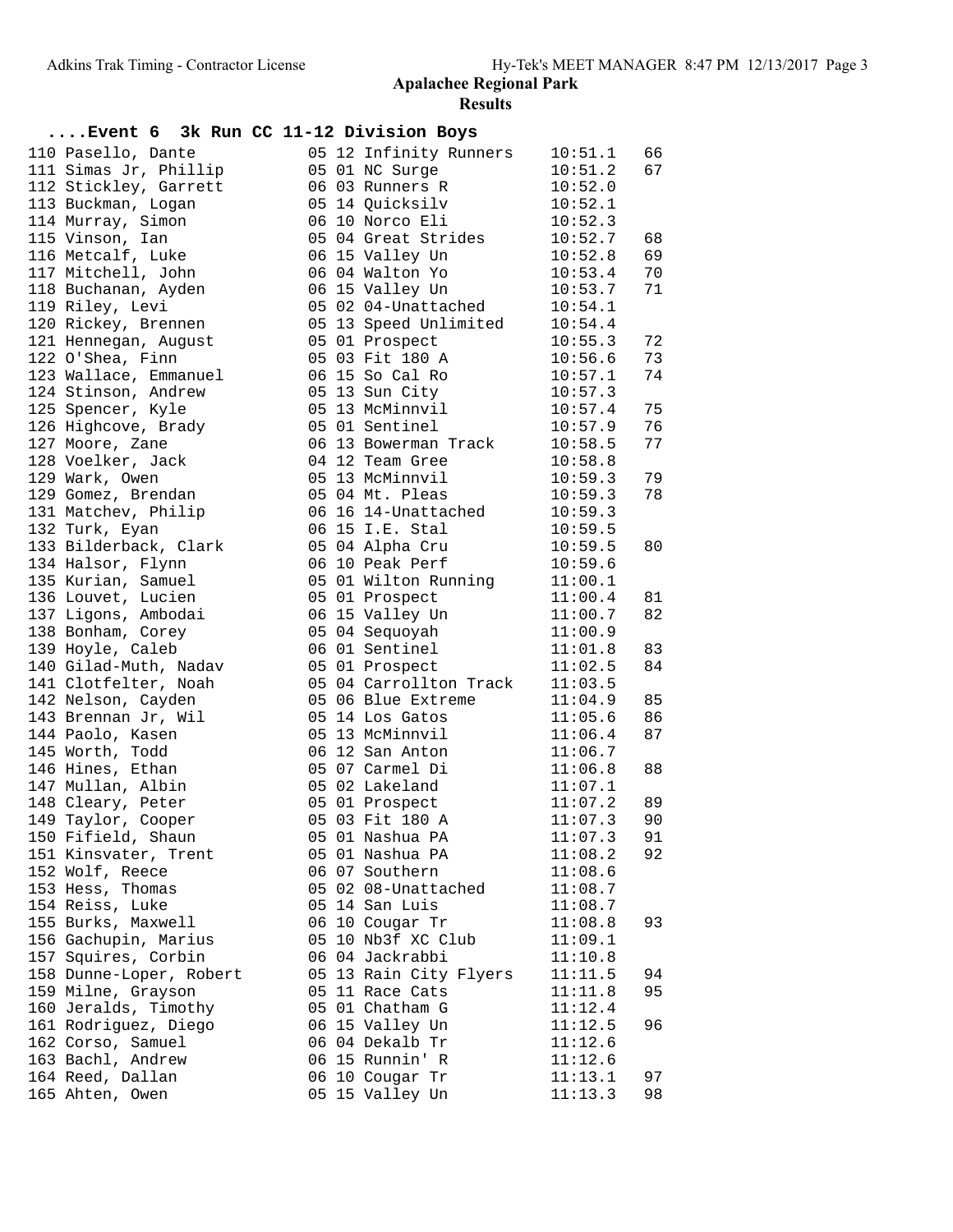| Event 6 3k Run CC 11-12 Division Boys                          |  |                                                        |              |          |
|----------------------------------------------------------------|--|--------------------------------------------------------|--------------|----------|
| 110 Pasello, Dante                                             |  | 05 12 Infinity Runners                                 | 10:51.1      | 66       |
| 111 Simas Jr, Phillip                                          |  | 05 01 NC Surge                                         | 10:51.2      | 67       |
| 112 Stickley, Garrett                                          |  | 06 03 Runners R                                        | 10:52.0      |          |
| 113 Buckman, Logan                                             |  | 05 14 Quicksilv                                        | 10:52.1      |          |
| 114 Murray, Simon                                              |  | 06 10 Norco Eli                                        | 10:52.3      |          |
| 115 Vinson, Ian                                                |  | 05 04 Great Strides 10:52.7                            |              | 68       |
| 116 Metcalf, Luke                                              |  | 06 15 Valley Un 10:52.8                                |              | 69       |
| 117 Mitchell, John                                             |  | 06 04 Walton Yo                                        | 10:53.4      | 70       |
| 118 Buchanan, Ayden                                            |  | 06 15 Valley Un                                        | 10:53.7      | 71       |
| 119 Riley, Levi                                                |  | $050204$ -Unattached $10:54.1$                         |              |          |
| 120 Rickey, Brennen                                            |  | 05 13 Speed Unlimited 10:54.4                          |              |          |
| 121 Hennegan, August               05 01 Prospect              |  |                                                        | 10:55.3      | 72       |
| 122 O'Shea, Finn                                               |  | 05 03 Fit 180 A                                        | 10:56.6      | 73       |
| 123 Wallace, Emmanuel                                          |  | 06 15 So Cal Ro                                        | 10:57.1      | 74       |
| 124 Stinson, Andrew                                            |  | 05 13 Sun City                                         | 10:57.3      |          |
| 125 Spencer, Kyle                                              |  | 05 13 McMinnvil                                        | 10:57.4      | 75       |
| 126 Highcove, Brady                                            |  | 05 01 Sentinel                                         | 10:57.9      | 76       |
| 127 Moore, Zane                                                |  | 06 13 Bowerman Track 10:58.5                           |              | 77       |
| 128 Voelker, Jack                                              |  | 04 12 Team Gree 10:58.8                                |              |          |
| 129 Wark, Owen                                                 |  | 05 13 McMinnvil                                        | 10:59.3      | 79       |
| 129 Gomez, Brendan                                             |  | 05 04 Mt. Pleas 10:59.3<br>06 16 14-Unattached 10:59.3 | 10:59.3      | 78       |
| 131 Matchev, Philip                                            |  |                                                        |              |          |
| 132 Turk, Eyan                                                 |  | 06 15 I.E. Stal                                        | 10:59.5      |          |
| 133 Bilderback, Clark                                          |  | 05 04 Alpha Cru 10:59.5                                |              | 80       |
| 134 Halsor, Flynn                                              |  | 06 10 Peak Perf                                        | 10:59.6      |          |
| 135 Kurian, Samuel                                             |  | 05 01 Wilton Running 11:00.1                           |              |          |
| 136 Louvet, Lucien                                             |  | 05 01 Prospect                                         | 11:00.4      | 81       |
| 130 Boavee, Bacien<br>137 Ligons, Ambodai<br>138 Bonham. Corev |  | 06 15 Valley Un                                        | 11:00.7      | 82       |
| 138 Bonham, Corey                                              |  | 05 04 Sequoyah                                         | 11:00.9      |          |
| 139 Hoyle, Caleb                                               |  | 06 01 Sentinel                                         | 11:01.8      | 83       |
| 140 Gilad-Muth, Nadav             05 01 Prospect               |  |                                                        | 11:02.5      | 84       |
| 141 Clotfelter, Noah                                           |  | 05 04 Carrollton Track 11:03.5                         | 11:04.9      |          |
| 142 Nelson, Cayden                                             |  | 05 06 Blue Extreme<br>05 14 Los Gatos                  | 11:05.6      | 85<br>86 |
| 111<br>143 Brennan Jr, Wil<br>144 Paolo, Kasen                 |  | 05 13 McMinnvil 11:06.4                                |              | 87       |
| 145 Worth, Todd                                                |  | 06 12 San Anton                                        | 11:06.7      |          |
| 146 Hines, Ethan                                               |  | 05 07 Carmel Di                                        | 11:06.8      | 88       |
| 147 Mullan, Albin                                              |  | 05 02 Lakeland                                         | 11:07.1      |          |
| 148 Cleary, Peter                                              |  | 05 01 Prospect                                         | 11:07.2      | 89       |
| 149 Taylor, Cooper                                             |  | 05 03 Fit 180 A                                        | $11:07.3$ 90 |          |
| 150 Fifield, Shaun                                             |  | 05 01 Nashua PA                                        | 11:07.3      | 91       |
| 151 Kinsvater, Trent                                           |  | 05 01 Nashua PA                                        | 11:08.2      | 92       |
| 152 Wolf, Reece                                                |  | 06 07 Southern                                         | 11:08.6      |          |
| 153 Hess, Thomas                                               |  | 05 02 08-Unattached                                    | 11:08.7      |          |
| 154 Reiss, Luke                                                |  | 05 14 San Luis                                         | 11:08.7      |          |
| 155 Burks, Maxwell                                             |  | 06 10 Cougar Tr                                        | 11:08.8      | 93       |
| 156 Gachupin, Marius                                           |  | 05 10 Nb3f XC Club                                     | 11:09.1      |          |
| 157 Squires, Corbin                                            |  | 06 04 Jackrabbi                                        | 11:10.8      |          |
| 158 Dunne-Loper, Robert                                        |  | 05 13 Rain City Flyers                                 | 11:11.5      | 94       |
| 159 Milne, Grayson                                             |  | 05 11 Race Cats                                        | 11:11.8      | 95       |
| 160 Jeralds, Timothy                                           |  | 05 01 Chatham G                                        | 11:12.4      |          |
| 161 Rodriguez, Diego                                           |  | 06 15 Valley Un                                        | 11:12.5      | 96       |
| 162 Corso, Samuel                                              |  | 06 04 Dekalb Tr                                        | 11:12.6      |          |
| 163 Bachl, Andrew                                              |  | 06 15 Runnin' R                                        | 11:12.6      |          |
| 164 Reed, Dallan                                               |  | 06 10 Cougar Tr                                        | 11:13.1      | 97       |
| 165 Ahten, Owen                                                |  | 05 15 Valley Un                                        | 11:13.3      | 98       |
|                                                                |  |                                                        |              |          |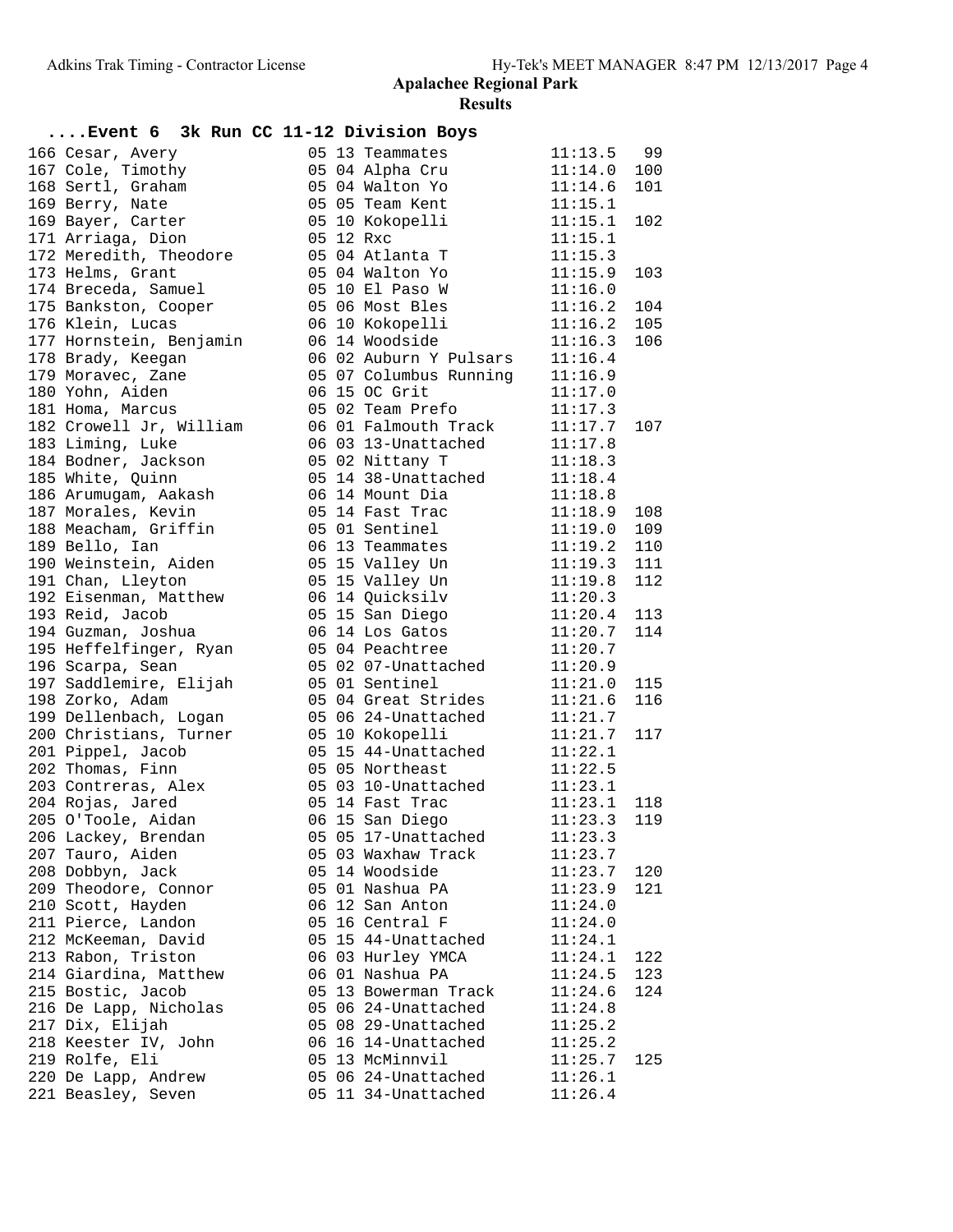| Event 6 3k Run CC 11-12 Division Boys      |                                                       |                    |     |
|--------------------------------------------|-------------------------------------------------------|--------------------|-----|
| 166 Cesar, Avery                           | 05 13 Teammates                                       | $11:13.5$ 99       |     |
| 167 Cole, Timothy                          | 05 04 Alpha Cru                                       | 11:14.0            | 100 |
| 168 Sertl, Graham                          |                                                       | 11:14.6            | 101 |
| 169 Berry, Nate                            |                                                       | 11:15.1            |     |
| 169 Bayer, Carter                          | 05 04 Walton Yo<br>05 05 Team Kent<br>05 10 Kokopelli | 11:15.1            | 102 |
| 171 Arriaga, Dion                          | 05 12 Rxc                                             | 11:15.1            |     |
| 172 Meredith, Theodore                     | 05 04 Atlanta T                                       | 11:15.3            |     |
| 173 Helms, Grant                           | 05 04 Walton Yo                                       | 11:15.9            | 103 |
| 174 Breceda, Samuel                        |                                                       | 11:16.0            |     |
| 175 Bankston, Cooper                       |                                                       | 11:16.2            | 104 |
| 176 Klein, Lucas                           | 06 10 Kokopelli                                       | 11:16.2            | 105 |
| 177 Hornstein, Benjamin                    | 06 14 Woodside                                        | 11:16.3            | 106 |
| 178 Brady, Keegan                          | 06 02 Auburn Y Pulsars                                | 11:16.4            |     |
| 179 Moravec, Zane                          | 05 07 Columbus Running                                | 11:16.9            |     |
| 180 Yohn, Aiden                            | 06 15 OC Grit                                         | 11:17.0            |     |
| 181 Homa, Marcus                           | 05 02 Team Prefo                                      | 11:17.3            |     |
| 182 Crowell Jr, William                    | 06 01 Falmouth Track                                  | 11:17.7            | 107 |
| 183 Liming, Luke                           | 06 03 13-Unattached                                   | 11:17.8            |     |
| 184 Bodner, Jackson                        | 05 02 Nittany T                                       | 11:18.3            |     |
| 185 White, Quinn                           | 05 14 38-Unattached                                   | 11:18.4            |     |
| 186 Arumugam, Aakash                       | 06  14  Mount Dia<br>05  14  Fast Trac                | 11:18.8            |     |
| 187 Morales, Kevin                         |                                                       | 11:18.9            | 108 |
| 188 Meacham, Griffin                       | 05 01 Sentinel                                        | 11:19.0            | 109 |
| 189 Bello, Ian                             | 06 13 Teammates                                       | 11:19.2            | 110 |
| 190 Weinstein, Aiden                       | 05 15 Valley Un                                       | 11:19.3            | 111 |
| 191 Chan, Lleyton                          | 05 15 Valley Un                                       | 11:19.8            | 112 |
| 192 Eisenman, Matthew                      | 06  14 Quicksilv<br>05  15  San Diego                 | 11:20.3            |     |
| 193 Reid, Jacob                            | 06 14 Los Gatos                                       | 11:20.4            | 113 |
| 194 Guzman, Joshua                         | 05 04 Peachtree                                       | 11:20.7            | 114 |
| 195 Heffelfinger, Ryan                     | 05 02 07-Unattached                                   | 11:20.7            |     |
| 196 Scarpa, Sean<br>197 Saddlemire, Elijah | 05 01 Sentinel                                        | 11:20.9<br>11:21.0 | 115 |
| 198 Zorko, Adam                            | 05 04 Great Strides                                   | 11:21.6            | 116 |
| 199 Dellenbach, Logan                      | 05 06 24-Unattached                                   | 11:21.7            |     |
| 200 Christians, Turner                     | 05 10 Kokopelli                                       | 11:21.7            | 117 |
| 201 Pippel, Jacob                          | 05 15 44-Unattached                                   | 11:22.1            |     |
| 202 Thomas, Finn                           | 05 05 Northeast                                       | 11:22.5            |     |
| 203 Contreras, Alex                        | 05 03 10-Unattached                                   | 11:23.1            |     |
| 204 Rojas, Jared                           | 05 14 Fast Trac                                       | 11:23.1            | 118 |
| 205 O'Toole, Aidan                         | 06 15 San Diego 11:23.3 119                           |                    |     |
| 206 Lackey, Brendan                        | 05 05 17-Unattached                                   | 11:23.3            |     |
| 207 Tauro, Aiden                           | 05 03 Waxhaw Track                                    | 11:23.7            |     |
| 208 Dobbyn, Jack                           | 05 14 Woodside                                        | 11:23.7            | 120 |
| 209 Theodore, Connor                       | 05 01 Nashua PA                                       | 11:23.9            | 121 |
| 210 Scott, Hayden                          | 06 12 San Anton                                       | 11:24.0            |     |
| 211 Pierce, Landon                         | 05 16 Central F                                       | 11:24.0            |     |
| 212 McKeeman, David                        | 05 15 44-Unattached                                   | 11:24.1            |     |
| 213 Rabon, Triston                         | 06 03 Hurley YMCA                                     | 11:24.1            | 122 |
| 214 Giardina, Matthew                      | 06 01 Nashua PA                                       | 11:24.5            | 123 |
| 215 Bostic, Jacob                          | 05 13 Bowerman Track                                  | 11:24.6            | 124 |
| 216 De Lapp, Nicholas                      | 05 06 24-Unattached                                   | 11:24.8            |     |
| 217 Dix, Elijah                            | 05 08 29-Unattached                                   | 11:25.2            |     |
| 218 Keester IV, John                       | 06 16 14-Unattached                                   | 11:25.2            |     |
| 219 Rolfe, Eli                             | 05 13 McMinnvil                                       | 11:25.7            | 125 |
| 220 De Lapp, Andrew                        | 05 06 24-Unattached                                   | 11:26.1            |     |
| 221 Beasley, Seven                         | 05 11 34-Unattached                                   | 11:26.4            |     |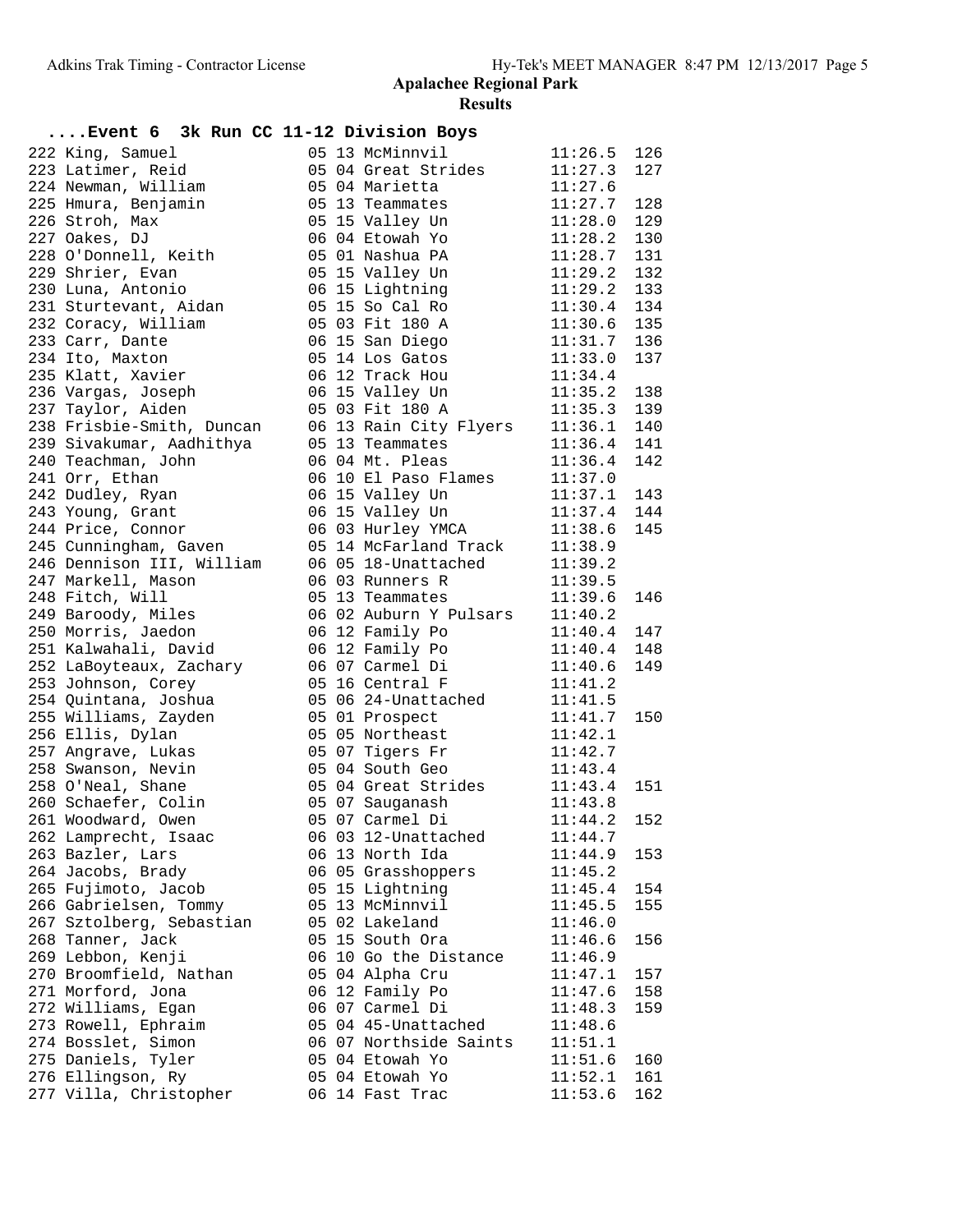| 05 13 McMinnvil<br>222 King, Samuel<br>$11:26.5$ 126<br>223 Latimer, Reid<br>05 04 Great Strides<br>11:27.3<br>127<br>224 Newman, William<br>11:27.6<br>05 04 Marietta<br>225 Hmura, Benjamin<br>11:27.7<br>128<br>05 13 Teammates<br>129<br>226 Stroh, Max<br>05 15 Valley Un<br>11:28.0<br>227 Oakes, DJ<br>06 04 Etowah Yo<br>$11:28.2$ 130<br>228 O'Donnell, Keith<br>131<br>05 01 Nashua PA<br>11:28.7<br>$11:29.2$ 132<br>229 Shrier, Evan<br>05 15 Valley Un<br>$11:29.2$ 133<br>230 Luna, Antonio<br>06 15 Lightning<br>05 15 So Cal Ro<br>231 Sturtevant, Aidan<br>$11:30.4$ 134<br>05 03 Fit 180 A<br>$11:30.6$ 135<br>232 Coracy, William<br>$11:31.7$ 136<br>06 15 San Diego<br>233 Carr, Dante<br>05 14 Los Gatos<br>234 Ito, Maxton<br>11:33.0<br>137<br>06 12 Track Hou<br>235 Klatt, Xavier<br>11:34.4<br>$11:35.2$ 138<br>236 Vargas, Joseph<br>06 15 Valley Un<br>$11:35.3$ 139<br>237 Taylor, Aiden<br>05 03 Fit 180 A<br>06 13 Rain City Flyers 11:36.1<br>140<br>238 Frisbie-Smith, Duncan<br>239 Sivakumar, Aadhithya<br>05 13 Teammates<br>11:36.4<br>141<br>06 04 Mt. Pleas<br>142<br>240 Teachman, John<br>11:36.4<br>241 Orr, Ethan<br>06 10 El Paso Flames<br>11:37.0<br>242 Dudley, Ryan<br>06 15 Valley Un<br>11:37.1 143<br>$11:37.4$ 144<br>243 Young, Grant<br>06 15 Valley Un<br>06 03 Hurley YMCA 11:38.6<br>145<br>244 Price, Connor<br>245 Cunningham, Gaven<br>05 14 McFarland Track 11:38.9<br>246 Dennison III, William<br>06 05 18-Unattached 11:39.2<br>247 Markell, Mason<br>06 03 Runners R<br>11:39.5<br>06 03 Runners R 11:39.5<br>05 13 Teammates 11:39.6<br>248 Fitch, Will<br>146<br>06 02 Auburn Y Pulsars 11:40.2<br>249 Baroody, Miles<br>11:40.4<br>250 Morris, Jaedon<br>06 12 Family Po<br>147<br>251 Kalwahali, David<br>06 12 Family Po 11:40.4 148<br>149<br>252 LaBoyteaux, Zachary<br>06 07 Carmel Di<br>11:40.6<br>253 Johnson, Corey<br>05 16 Central F<br>11:41.2<br>11:41.5<br>254 Quintana, Joshua<br>05 06 24-Unattached<br>11:41.7<br>255 Williams, Zayden<br>05 01 Prospect<br>150<br>05 05 Northeast 11:42.1<br>256 Ellis, Dylan<br>257 Angrave, Lukas<br>05 07 Tigers Fr 11:42.7<br>258 Swanson, Nevin<br>05 04 South Geo<br>11:43.4<br>258 O'Neal, Shane<br>05 04 Great Strides 11:43.4<br>05 07 Sauganash 11:43.8<br>151<br>260 Schaefer, Colin<br>05 07 Carmel Di 11:44.2 152<br>261 Woodward, Owen<br>262 Lamprecht, Isaac<br>06 03 12-Unattached<br>11:44.7<br>263 Bazler, Lars<br>11:44.9<br>06 13 North Ida<br>153<br>264 Jacobs, Brady<br>06 05 Grasshoppers<br>11:45.2<br>265 Fujimoto, Jacob<br>05 15 Lightning<br>11:45.4<br>154<br>266 Gabrielsen, Tommy<br>05 13 McMinnvil<br>155<br>11:45.5<br>267 Sztolberg, Sebastian<br>05 02 Lakeland<br>11:46.0<br>05 15 South Ora<br>268 Tanner, Jack<br>11:46.6<br>156<br>06 10 Go the Distance<br>269 Lebbon, Kenji<br>11:46.9<br>270 Broomfield, Nathan<br>05 04 Alpha Cru<br>11:47.1<br>157<br>271 Morford, Jona<br>06 12 Family Po<br>11:47.6<br>158<br>272 Williams, Egan<br>06 07 Carmel Di<br>159<br>11:48.3<br>273 Rowell, Ephraim<br>05 04 45-Unattached<br>11:48.6<br>274 Bosslet, Simon<br>06 07 Northside Saints<br>11:51.1<br>275 Daniels, Tyler<br>05 04 Etowah Yo<br>11:51.6<br>160<br>276 Ellingson, Ry<br>05 04 Etowah Yo<br>161<br>11:52.1<br>277 Villa, Christopher<br>06 14 Fast Trac<br>162 | Event 6 3k Run CC 11-12 Division Boys |  |         |  |
|--------------------------------------------------------------------------------------------------------------------------------------------------------------------------------------------------------------------------------------------------------------------------------------------------------------------------------------------------------------------------------------------------------------------------------------------------------------------------------------------------------------------------------------------------------------------------------------------------------------------------------------------------------------------------------------------------------------------------------------------------------------------------------------------------------------------------------------------------------------------------------------------------------------------------------------------------------------------------------------------------------------------------------------------------------------------------------------------------------------------------------------------------------------------------------------------------------------------------------------------------------------------------------------------------------------------------------------------------------------------------------------------------------------------------------------------------------------------------------------------------------------------------------------------------------------------------------------------------------------------------------------------------------------------------------------------------------------------------------------------------------------------------------------------------------------------------------------------------------------------------------------------------------------------------------------------------------------------------------------------------------------------------------------------------------------------------------------------------------------------------------------------------------------------------------------------------------------------------------------------------------------------------------------------------------------------------------------------------------------------------------------------------------------------------------------------------------------------------------------------------------------------------------------------------------------------------------------------------------------------------------------------------------------------------------------------------------------------------------------------------------------------------------------------------------------------------------------------------------------------------------------------------------------------------------------------------------------------------------------------------------------------------------------------------------------------------------------------------------------------------------------------------------------------------------------------------------------------------------------------------------------------------------------------------------------------------------------------|---------------------------------------|--|---------|--|
|                                                                                                                                                                                                                                                                                                                                                                                                                                                                                                                                                                                                                                                                                                                                                                                                                                                                                                                                                                                                                                                                                                                                                                                                                                                                                                                                                                                                                                                                                                                                                                                                                                                                                                                                                                                                                                                                                                                                                                                                                                                                                                                                                                                                                                                                                                                                                                                                                                                                                                                                                                                                                                                                                                                                                                                                                                                                                                                                                                                                                                                                                                                                                                                                                                                                                                                                            |                                       |  |         |  |
|                                                                                                                                                                                                                                                                                                                                                                                                                                                                                                                                                                                                                                                                                                                                                                                                                                                                                                                                                                                                                                                                                                                                                                                                                                                                                                                                                                                                                                                                                                                                                                                                                                                                                                                                                                                                                                                                                                                                                                                                                                                                                                                                                                                                                                                                                                                                                                                                                                                                                                                                                                                                                                                                                                                                                                                                                                                                                                                                                                                                                                                                                                                                                                                                                                                                                                                                            |                                       |  |         |  |
|                                                                                                                                                                                                                                                                                                                                                                                                                                                                                                                                                                                                                                                                                                                                                                                                                                                                                                                                                                                                                                                                                                                                                                                                                                                                                                                                                                                                                                                                                                                                                                                                                                                                                                                                                                                                                                                                                                                                                                                                                                                                                                                                                                                                                                                                                                                                                                                                                                                                                                                                                                                                                                                                                                                                                                                                                                                                                                                                                                                                                                                                                                                                                                                                                                                                                                                                            |                                       |  |         |  |
|                                                                                                                                                                                                                                                                                                                                                                                                                                                                                                                                                                                                                                                                                                                                                                                                                                                                                                                                                                                                                                                                                                                                                                                                                                                                                                                                                                                                                                                                                                                                                                                                                                                                                                                                                                                                                                                                                                                                                                                                                                                                                                                                                                                                                                                                                                                                                                                                                                                                                                                                                                                                                                                                                                                                                                                                                                                                                                                                                                                                                                                                                                                                                                                                                                                                                                                                            |                                       |  |         |  |
|                                                                                                                                                                                                                                                                                                                                                                                                                                                                                                                                                                                                                                                                                                                                                                                                                                                                                                                                                                                                                                                                                                                                                                                                                                                                                                                                                                                                                                                                                                                                                                                                                                                                                                                                                                                                                                                                                                                                                                                                                                                                                                                                                                                                                                                                                                                                                                                                                                                                                                                                                                                                                                                                                                                                                                                                                                                                                                                                                                                                                                                                                                                                                                                                                                                                                                                                            |                                       |  |         |  |
|                                                                                                                                                                                                                                                                                                                                                                                                                                                                                                                                                                                                                                                                                                                                                                                                                                                                                                                                                                                                                                                                                                                                                                                                                                                                                                                                                                                                                                                                                                                                                                                                                                                                                                                                                                                                                                                                                                                                                                                                                                                                                                                                                                                                                                                                                                                                                                                                                                                                                                                                                                                                                                                                                                                                                                                                                                                                                                                                                                                                                                                                                                                                                                                                                                                                                                                                            |                                       |  |         |  |
|                                                                                                                                                                                                                                                                                                                                                                                                                                                                                                                                                                                                                                                                                                                                                                                                                                                                                                                                                                                                                                                                                                                                                                                                                                                                                                                                                                                                                                                                                                                                                                                                                                                                                                                                                                                                                                                                                                                                                                                                                                                                                                                                                                                                                                                                                                                                                                                                                                                                                                                                                                                                                                                                                                                                                                                                                                                                                                                                                                                                                                                                                                                                                                                                                                                                                                                                            |                                       |  |         |  |
|                                                                                                                                                                                                                                                                                                                                                                                                                                                                                                                                                                                                                                                                                                                                                                                                                                                                                                                                                                                                                                                                                                                                                                                                                                                                                                                                                                                                                                                                                                                                                                                                                                                                                                                                                                                                                                                                                                                                                                                                                                                                                                                                                                                                                                                                                                                                                                                                                                                                                                                                                                                                                                                                                                                                                                                                                                                                                                                                                                                                                                                                                                                                                                                                                                                                                                                                            |                                       |  |         |  |
|                                                                                                                                                                                                                                                                                                                                                                                                                                                                                                                                                                                                                                                                                                                                                                                                                                                                                                                                                                                                                                                                                                                                                                                                                                                                                                                                                                                                                                                                                                                                                                                                                                                                                                                                                                                                                                                                                                                                                                                                                                                                                                                                                                                                                                                                                                                                                                                                                                                                                                                                                                                                                                                                                                                                                                                                                                                                                                                                                                                                                                                                                                                                                                                                                                                                                                                                            |                                       |  |         |  |
|                                                                                                                                                                                                                                                                                                                                                                                                                                                                                                                                                                                                                                                                                                                                                                                                                                                                                                                                                                                                                                                                                                                                                                                                                                                                                                                                                                                                                                                                                                                                                                                                                                                                                                                                                                                                                                                                                                                                                                                                                                                                                                                                                                                                                                                                                                                                                                                                                                                                                                                                                                                                                                                                                                                                                                                                                                                                                                                                                                                                                                                                                                                                                                                                                                                                                                                                            |                                       |  |         |  |
|                                                                                                                                                                                                                                                                                                                                                                                                                                                                                                                                                                                                                                                                                                                                                                                                                                                                                                                                                                                                                                                                                                                                                                                                                                                                                                                                                                                                                                                                                                                                                                                                                                                                                                                                                                                                                                                                                                                                                                                                                                                                                                                                                                                                                                                                                                                                                                                                                                                                                                                                                                                                                                                                                                                                                                                                                                                                                                                                                                                                                                                                                                                                                                                                                                                                                                                                            |                                       |  |         |  |
|                                                                                                                                                                                                                                                                                                                                                                                                                                                                                                                                                                                                                                                                                                                                                                                                                                                                                                                                                                                                                                                                                                                                                                                                                                                                                                                                                                                                                                                                                                                                                                                                                                                                                                                                                                                                                                                                                                                                                                                                                                                                                                                                                                                                                                                                                                                                                                                                                                                                                                                                                                                                                                                                                                                                                                                                                                                                                                                                                                                                                                                                                                                                                                                                                                                                                                                                            |                                       |  |         |  |
|                                                                                                                                                                                                                                                                                                                                                                                                                                                                                                                                                                                                                                                                                                                                                                                                                                                                                                                                                                                                                                                                                                                                                                                                                                                                                                                                                                                                                                                                                                                                                                                                                                                                                                                                                                                                                                                                                                                                                                                                                                                                                                                                                                                                                                                                                                                                                                                                                                                                                                                                                                                                                                                                                                                                                                                                                                                                                                                                                                                                                                                                                                                                                                                                                                                                                                                                            |                                       |  |         |  |
|                                                                                                                                                                                                                                                                                                                                                                                                                                                                                                                                                                                                                                                                                                                                                                                                                                                                                                                                                                                                                                                                                                                                                                                                                                                                                                                                                                                                                                                                                                                                                                                                                                                                                                                                                                                                                                                                                                                                                                                                                                                                                                                                                                                                                                                                                                                                                                                                                                                                                                                                                                                                                                                                                                                                                                                                                                                                                                                                                                                                                                                                                                                                                                                                                                                                                                                                            |                                       |  |         |  |
|                                                                                                                                                                                                                                                                                                                                                                                                                                                                                                                                                                                                                                                                                                                                                                                                                                                                                                                                                                                                                                                                                                                                                                                                                                                                                                                                                                                                                                                                                                                                                                                                                                                                                                                                                                                                                                                                                                                                                                                                                                                                                                                                                                                                                                                                                                                                                                                                                                                                                                                                                                                                                                                                                                                                                                                                                                                                                                                                                                                                                                                                                                                                                                                                                                                                                                                                            |                                       |  |         |  |
|                                                                                                                                                                                                                                                                                                                                                                                                                                                                                                                                                                                                                                                                                                                                                                                                                                                                                                                                                                                                                                                                                                                                                                                                                                                                                                                                                                                                                                                                                                                                                                                                                                                                                                                                                                                                                                                                                                                                                                                                                                                                                                                                                                                                                                                                                                                                                                                                                                                                                                                                                                                                                                                                                                                                                                                                                                                                                                                                                                                                                                                                                                                                                                                                                                                                                                                                            |                                       |  |         |  |
|                                                                                                                                                                                                                                                                                                                                                                                                                                                                                                                                                                                                                                                                                                                                                                                                                                                                                                                                                                                                                                                                                                                                                                                                                                                                                                                                                                                                                                                                                                                                                                                                                                                                                                                                                                                                                                                                                                                                                                                                                                                                                                                                                                                                                                                                                                                                                                                                                                                                                                                                                                                                                                                                                                                                                                                                                                                                                                                                                                                                                                                                                                                                                                                                                                                                                                                                            |                                       |  |         |  |
|                                                                                                                                                                                                                                                                                                                                                                                                                                                                                                                                                                                                                                                                                                                                                                                                                                                                                                                                                                                                                                                                                                                                                                                                                                                                                                                                                                                                                                                                                                                                                                                                                                                                                                                                                                                                                                                                                                                                                                                                                                                                                                                                                                                                                                                                                                                                                                                                                                                                                                                                                                                                                                                                                                                                                                                                                                                                                                                                                                                                                                                                                                                                                                                                                                                                                                                                            |                                       |  |         |  |
|                                                                                                                                                                                                                                                                                                                                                                                                                                                                                                                                                                                                                                                                                                                                                                                                                                                                                                                                                                                                                                                                                                                                                                                                                                                                                                                                                                                                                                                                                                                                                                                                                                                                                                                                                                                                                                                                                                                                                                                                                                                                                                                                                                                                                                                                                                                                                                                                                                                                                                                                                                                                                                                                                                                                                                                                                                                                                                                                                                                                                                                                                                                                                                                                                                                                                                                                            |                                       |  |         |  |
|                                                                                                                                                                                                                                                                                                                                                                                                                                                                                                                                                                                                                                                                                                                                                                                                                                                                                                                                                                                                                                                                                                                                                                                                                                                                                                                                                                                                                                                                                                                                                                                                                                                                                                                                                                                                                                                                                                                                                                                                                                                                                                                                                                                                                                                                                                                                                                                                                                                                                                                                                                                                                                                                                                                                                                                                                                                                                                                                                                                                                                                                                                                                                                                                                                                                                                                                            |                                       |  |         |  |
|                                                                                                                                                                                                                                                                                                                                                                                                                                                                                                                                                                                                                                                                                                                                                                                                                                                                                                                                                                                                                                                                                                                                                                                                                                                                                                                                                                                                                                                                                                                                                                                                                                                                                                                                                                                                                                                                                                                                                                                                                                                                                                                                                                                                                                                                                                                                                                                                                                                                                                                                                                                                                                                                                                                                                                                                                                                                                                                                                                                                                                                                                                                                                                                                                                                                                                                                            |                                       |  |         |  |
|                                                                                                                                                                                                                                                                                                                                                                                                                                                                                                                                                                                                                                                                                                                                                                                                                                                                                                                                                                                                                                                                                                                                                                                                                                                                                                                                                                                                                                                                                                                                                                                                                                                                                                                                                                                                                                                                                                                                                                                                                                                                                                                                                                                                                                                                                                                                                                                                                                                                                                                                                                                                                                                                                                                                                                                                                                                                                                                                                                                                                                                                                                                                                                                                                                                                                                                                            |                                       |  |         |  |
|                                                                                                                                                                                                                                                                                                                                                                                                                                                                                                                                                                                                                                                                                                                                                                                                                                                                                                                                                                                                                                                                                                                                                                                                                                                                                                                                                                                                                                                                                                                                                                                                                                                                                                                                                                                                                                                                                                                                                                                                                                                                                                                                                                                                                                                                                                                                                                                                                                                                                                                                                                                                                                                                                                                                                                                                                                                                                                                                                                                                                                                                                                                                                                                                                                                                                                                                            |                                       |  |         |  |
|                                                                                                                                                                                                                                                                                                                                                                                                                                                                                                                                                                                                                                                                                                                                                                                                                                                                                                                                                                                                                                                                                                                                                                                                                                                                                                                                                                                                                                                                                                                                                                                                                                                                                                                                                                                                                                                                                                                                                                                                                                                                                                                                                                                                                                                                                                                                                                                                                                                                                                                                                                                                                                                                                                                                                                                                                                                                                                                                                                                                                                                                                                                                                                                                                                                                                                                                            |                                       |  |         |  |
|                                                                                                                                                                                                                                                                                                                                                                                                                                                                                                                                                                                                                                                                                                                                                                                                                                                                                                                                                                                                                                                                                                                                                                                                                                                                                                                                                                                                                                                                                                                                                                                                                                                                                                                                                                                                                                                                                                                                                                                                                                                                                                                                                                                                                                                                                                                                                                                                                                                                                                                                                                                                                                                                                                                                                                                                                                                                                                                                                                                                                                                                                                                                                                                                                                                                                                                                            |                                       |  |         |  |
|                                                                                                                                                                                                                                                                                                                                                                                                                                                                                                                                                                                                                                                                                                                                                                                                                                                                                                                                                                                                                                                                                                                                                                                                                                                                                                                                                                                                                                                                                                                                                                                                                                                                                                                                                                                                                                                                                                                                                                                                                                                                                                                                                                                                                                                                                                                                                                                                                                                                                                                                                                                                                                                                                                                                                                                                                                                                                                                                                                                                                                                                                                                                                                                                                                                                                                                                            |                                       |  |         |  |
|                                                                                                                                                                                                                                                                                                                                                                                                                                                                                                                                                                                                                                                                                                                                                                                                                                                                                                                                                                                                                                                                                                                                                                                                                                                                                                                                                                                                                                                                                                                                                                                                                                                                                                                                                                                                                                                                                                                                                                                                                                                                                                                                                                                                                                                                                                                                                                                                                                                                                                                                                                                                                                                                                                                                                                                                                                                                                                                                                                                                                                                                                                                                                                                                                                                                                                                                            |                                       |  |         |  |
|                                                                                                                                                                                                                                                                                                                                                                                                                                                                                                                                                                                                                                                                                                                                                                                                                                                                                                                                                                                                                                                                                                                                                                                                                                                                                                                                                                                                                                                                                                                                                                                                                                                                                                                                                                                                                                                                                                                                                                                                                                                                                                                                                                                                                                                                                                                                                                                                                                                                                                                                                                                                                                                                                                                                                                                                                                                                                                                                                                                                                                                                                                                                                                                                                                                                                                                                            |                                       |  |         |  |
|                                                                                                                                                                                                                                                                                                                                                                                                                                                                                                                                                                                                                                                                                                                                                                                                                                                                                                                                                                                                                                                                                                                                                                                                                                                                                                                                                                                                                                                                                                                                                                                                                                                                                                                                                                                                                                                                                                                                                                                                                                                                                                                                                                                                                                                                                                                                                                                                                                                                                                                                                                                                                                                                                                                                                                                                                                                                                                                                                                                                                                                                                                                                                                                                                                                                                                                                            |                                       |  |         |  |
|                                                                                                                                                                                                                                                                                                                                                                                                                                                                                                                                                                                                                                                                                                                                                                                                                                                                                                                                                                                                                                                                                                                                                                                                                                                                                                                                                                                                                                                                                                                                                                                                                                                                                                                                                                                                                                                                                                                                                                                                                                                                                                                                                                                                                                                                                                                                                                                                                                                                                                                                                                                                                                                                                                                                                                                                                                                                                                                                                                                                                                                                                                                                                                                                                                                                                                                                            |                                       |  |         |  |
|                                                                                                                                                                                                                                                                                                                                                                                                                                                                                                                                                                                                                                                                                                                                                                                                                                                                                                                                                                                                                                                                                                                                                                                                                                                                                                                                                                                                                                                                                                                                                                                                                                                                                                                                                                                                                                                                                                                                                                                                                                                                                                                                                                                                                                                                                                                                                                                                                                                                                                                                                                                                                                                                                                                                                                                                                                                                                                                                                                                                                                                                                                                                                                                                                                                                                                                                            |                                       |  |         |  |
|                                                                                                                                                                                                                                                                                                                                                                                                                                                                                                                                                                                                                                                                                                                                                                                                                                                                                                                                                                                                                                                                                                                                                                                                                                                                                                                                                                                                                                                                                                                                                                                                                                                                                                                                                                                                                                                                                                                                                                                                                                                                                                                                                                                                                                                                                                                                                                                                                                                                                                                                                                                                                                                                                                                                                                                                                                                                                                                                                                                                                                                                                                                                                                                                                                                                                                                                            |                                       |  |         |  |
|                                                                                                                                                                                                                                                                                                                                                                                                                                                                                                                                                                                                                                                                                                                                                                                                                                                                                                                                                                                                                                                                                                                                                                                                                                                                                                                                                                                                                                                                                                                                                                                                                                                                                                                                                                                                                                                                                                                                                                                                                                                                                                                                                                                                                                                                                                                                                                                                                                                                                                                                                                                                                                                                                                                                                                                                                                                                                                                                                                                                                                                                                                                                                                                                                                                                                                                                            |                                       |  |         |  |
|                                                                                                                                                                                                                                                                                                                                                                                                                                                                                                                                                                                                                                                                                                                                                                                                                                                                                                                                                                                                                                                                                                                                                                                                                                                                                                                                                                                                                                                                                                                                                                                                                                                                                                                                                                                                                                                                                                                                                                                                                                                                                                                                                                                                                                                                                                                                                                                                                                                                                                                                                                                                                                                                                                                                                                                                                                                                                                                                                                                                                                                                                                                                                                                                                                                                                                                                            |                                       |  |         |  |
|                                                                                                                                                                                                                                                                                                                                                                                                                                                                                                                                                                                                                                                                                                                                                                                                                                                                                                                                                                                                                                                                                                                                                                                                                                                                                                                                                                                                                                                                                                                                                                                                                                                                                                                                                                                                                                                                                                                                                                                                                                                                                                                                                                                                                                                                                                                                                                                                                                                                                                                                                                                                                                                                                                                                                                                                                                                                                                                                                                                                                                                                                                                                                                                                                                                                                                                                            |                                       |  |         |  |
|                                                                                                                                                                                                                                                                                                                                                                                                                                                                                                                                                                                                                                                                                                                                                                                                                                                                                                                                                                                                                                                                                                                                                                                                                                                                                                                                                                                                                                                                                                                                                                                                                                                                                                                                                                                                                                                                                                                                                                                                                                                                                                                                                                                                                                                                                                                                                                                                                                                                                                                                                                                                                                                                                                                                                                                                                                                                                                                                                                                                                                                                                                                                                                                                                                                                                                                                            |                                       |  |         |  |
|                                                                                                                                                                                                                                                                                                                                                                                                                                                                                                                                                                                                                                                                                                                                                                                                                                                                                                                                                                                                                                                                                                                                                                                                                                                                                                                                                                                                                                                                                                                                                                                                                                                                                                                                                                                                                                                                                                                                                                                                                                                                                                                                                                                                                                                                                                                                                                                                                                                                                                                                                                                                                                                                                                                                                                                                                                                                                                                                                                                                                                                                                                                                                                                                                                                                                                                                            |                                       |  |         |  |
|                                                                                                                                                                                                                                                                                                                                                                                                                                                                                                                                                                                                                                                                                                                                                                                                                                                                                                                                                                                                                                                                                                                                                                                                                                                                                                                                                                                                                                                                                                                                                                                                                                                                                                                                                                                                                                                                                                                                                                                                                                                                                                                                                                                                                                                                                                                                                                                                                                                                                                                                                                                                                                                                                                                                                                                                                                                                                                                                                                                                                                                                                                                                                                                                                                                                                                                                            |                                       |  |         |  |
|                                                                                                                                                                                                                                                                                                                                                                                                                                                                                                                                                                                                                                                                                                                                                                                                                                                                                                                                                                                                                                                                                                                                                                                                                                                                                                                                                                                                                                                                                                                                                                                                                                                                                                                                                                                                                                                                                                                                                                                                                                                                                                                                                                                                                                                                                                                                                                                                                                                                                                                                                                                                                                                                                                                                                                                                                                                                                                                                                                                                                                                                                                                                                                                                                                                                                                                                            |                                       |  |         |  |
|                                                                                                                                                                                                                                                                                                                                                                                                                                                                                                                                                                                                                                                                                                                                                                                                                                                                                                                                                                                                                                                                                                                                                                                                                                                                                                                                                                                                                                                                                                                                                                                                                                                                                                                                                                                                                                                                                                                                                                                                                                                                                                                                                                                                                                                                                                                                                                                                                                                                                                                                                                                                                                                                                                                                                                                                                                                                                                                                                                                                                                                                                                                                                                                                                                                                                                                                            |                                       |  |         |  |
|                                                                                                                                                                                                                                                                                                                                                                                                                                                                                                                                                                                                                                                                                                                                                                                                                                                                                                                                                                                                                                                                                                                                                                                                                                                                                                                                                                                                                                                                                                                                                                                                                                                                                                                                                                                                                                                                                                                                                                                                                                                                                                                                                                                                                                                                                                                                                                                                                                                                                                                                                                                                                                                                                                                                                                                                                                                                                                                                                                                                                                                                                                                                                                                                                                                                                                                                            |                                       |  |         |  |
|                                                                                                                                                                                                                                                                                                                                                                                                                                                                                                                                                                                                                                                                                                                                                                                                                                                                                                                                                                                                                                                                                                                                                                                                                                                                                                                                                                                                                                                                                                                                                                                                                                                                                                                                                                                                                                                                                                                                                                                                                                                                                                                                                                                                                                                                                                                                                                                                                                                                                                                                                                                                                                                                                                                                                                                                                                                                                                                                                                                                                                                                                                                                                                                                                                                                                                                                            |                                       |  |         |  |
|                                                                                                                                                                                                                                                                                                                                                                                                                                                                                                                                                                                                                                                                                                                                                                                                                                                                                                                                                                                                                                                                                                                                                                                                                                                                                                                                                                                                                                                                                                                                                                                                                                                                                                                                                                                                                                                                                                                                                                                                                                                                                                                                                                                                                                                                                                                                                                                                                                                                                                                                                                                                                                                                                                                                                                                                                                                                                                                                                                                                                                                                                                                                                                                                                                                                                                                                            |                                       |  |         |  |
|                                                                                                                                                                                                                                                                                                                                                                                                                                                                                                                                                                                                                                                                                                                                                                                                                                                                                                                                                                                                                                                                                                                                                                                                                                                                                                                                                                                                                                                                                                                                                                                                                                                                                                                                                                                                                                                                                                                                                                                                                                                                                                                                                                                                                                                                                                                                                                                                                                                                                                                                                                                                                                                                                                                                                                                                                                                                                                                                                                                                                                                                                                                                                                                                                                                                                                                                            |                                       |  |         |  |
|                                                                                                                                                                                                                                                                                                                                                                                                                                                                                                                                                                                                                                                                                                                                                                                                                                                                                                                                                                                                                                                                                                                                                                                                                                                                                                                                                                                                                                                                                                                                                                                                                                                                                                                                                                                                                                                                                                                                                                                                                                                                                                                                                                                                                                                                                                                                                                                                                                                                                                                                                                                                                                                                                                                                                                                                                                                                                                                                                                                                                                                                                                                                                                                                                                                                                                                                            |                                       |  |         |  |
|                                                                                                                                                                                                                                                                                                                                                                                                                                                                                                                                                                                                                                                                                                                                                                                                                                                                                                                                                                                                                                                                                                                                                                                                                                                                                                                                                                                                                                                                                                                                                                                                                                                                                                                                                                                                                                                                                                                                                                                                                                                                                                                                                                                                                                                                                                                                                                                                                                                                                                                                                                                                                                                                                                                                                                                                                                                                                                                                                                                                                                                                                                                                                                                                                                                                                                                                            |                                       |  |         |  |
|                                                                                                                                                                                                                                                                                                                                                                                                                                                                                                                                                                                                                                                                                                                                                                                                                                                                                                                                                                                                                                                                                                                                                                                                                                                                                                                                                                                                                                                                                                                                                                                                                                                                                                                                                                                                                                                                                                                                                                                                                                                                                                                                                                                                                                                                                                                                                                                                                                                                                                                                                                                                                                                                                                                                                                                                                                                                                                                                                                                                                                                                                                                                                                                                                                                                                                                                            |                                       |  |         |  |
|                                                                                                                                                                                                                                                                                                                                                                                                                                                                                                                                                                                                                                                                                                                                                                                                                                                                                                                                                                                                                                                                                                                                                                                                                                                                                                                                                                                                                                                                                                                                                                                                                                                                                                                                                                                                                                                                                                                                                                                                                                                                                                                                                                                                                                                                                                                                                                                                                                                                                                                                                                                                                                                                                                                                                                                                                                                                                                                                                                                                                                                                                                                                                                                                                                                                                                                                            |                                       |  |         |  |
|                                                                                                                                                                                                                                                                                                                                                                                                                                                                                                                                                                                                                                                                                                                                                                                                                                                                                                                                                                                                                                                                                                                                                                                                                                                                                                                                                                                                                                                                                                                                                                                                                                                                                                                                                                                                                                                                                                                                                                                                                                                                                                                                                                                                                                                                                                                                                                                                                                                                                                                                                                                                                                                                                                                                                                                                                                                                                                                                                                                                                                                                                                                                                                                                                                                                                                                                            |                                       |  |         |  |
|                                                                                                                                                                                                                                                                                                                                                                                                                                                                                                                                                                                                                                                                                                                                                                                                                                                                                                                                                                                                                                                                                                                                                                                                                                                                                                                                                                                                                                                                                                                                                                                                                                                                                                                                                                                                                                                                                                                                                                                                                                                                                                                                                                                                                                                                                                                                                                                                                                                                                                                                                                                                                                                                                                                                                                                                                                                                                                                                                                                                                                                                                                                                                                                                                                                                                                                                            |                                       |  |         |  |
|                                                                                                                                                                                                                                                                                                                                                                                                                                                                                                                                                                                                                                                                                                                                                                                                                                                                                                                                                                                                                                                                                                                                                                                                                                                                                                                                                                                                                                                                                                                                                                                                                                                                                                                                                                                                                                                                                                                                                                                                                                                                                                                                                                                                                                                                                                                                                                                                                                                                                                                                                                                                                                                                                                                                                                                                                                                                                                                                                                                                                                                                                                                                                                                                                                                                                                                                            |                                       |  |         |  |
|                                                                                                                                                                                                                                                                                                                                                                                                                                                                                                                                                                                                                                                                                                                                                                                                                                                                                                                                                                                                                                                                                                                                                                                                                                                                                                                                                                                                                                                                                                                                                                                                                                                                                                                                                                                                                                                                                                                                                                                                                                                                                                                                                                                                                                                                                                                                                                                                                                                                                                                                                                                                                                                                                                                                                                                                                                                                                                                                                                                                                                                                                                                                                                                                                                                                                                                                            |                                       |  |         |  |
|                                                                                                                                                                                                                                                                                                                                                                                                                                                                                                                                                                                                                                                                                                                                                                                                                                                                                                                                                                                                                                                                                                                                                                                                                                                                                                                                                                                                                                                                                                                                                                                                                                                                                                                                                                                                                                                                                                                                                                                                                                                                                                                                                                                                                                                                                                                                                                                                                                                                                                                                                                                                                                                                                                                                                                                                                                                                                                                                                                                                                                                                                                                                                                                                                                                                                                                                            |                                       |  |         |  |
|                                                                                                                                                                                                                                                                                                                                                                                                                                                                                                                                                                                                                                                                                                                                                                                                                                                                                                                                                                                                                                                                                                                                                                                                                                                                                                                                                                                                                                                                                                                                                                                                                                                                                                                                                                                                                                                                                                                                                                                                                                                                                                                                                                                                                                                                                                                                                                                                                                                                                                                                                                                                                                                                                                                                                                                                                                                                                                                                                                                                                                                                                                                                                                                                                                                                                                                                            |                                       |  |         |  |
|                                                                                                                                                                                                                                                                                                                                                                                                                                                                                                                                                                                                                                                                                                                                                                                                                                                                                                                                                                                                                                                                                                                                                                                                                                                                                                                                                                                                                                                                                                                                                                                                                                                                                                                                                                                                                                                                                                                                                                                                                                                                                                                                                                                                                                                                                                                                                                                                                                                                                                                                                                                                                                                                                                                                                                                                                                                                                                                                                                                                                                                                                                                                                                                                                                                                                                                                            |                                       |  |         |  |
|                                                                                                                                                                                                                                                                                                                                                                                                                                                                                                                                                                                                                                                                                                                                                                                                                                                                                                                                                                                                                                                                                                                                                                                                                                                                                                                                                                                                                                                                                                                                                                                                                                                                                                                                                                                                                                                                                                                                                                                                                                                                                                                                                                                                                                                                                                                                                                                                                                                                                                                                                                                                                                                                                                                                                                                                                                                                                                                                                                                                                                                                                                                                                                                                                                                                                                                                            |                                       |  | 11:53.6 |  |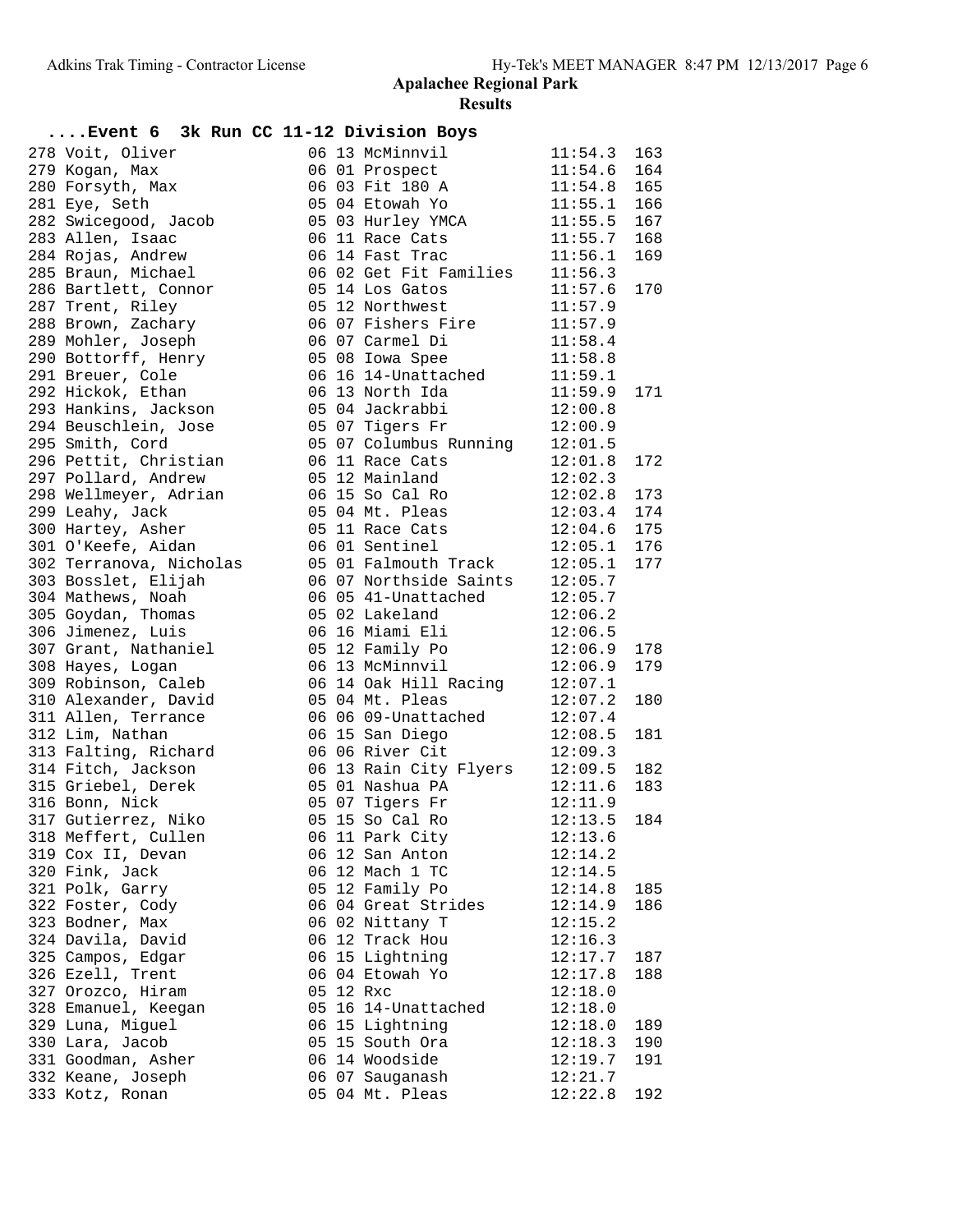| Event 6 3k Run CC 11-12 Division Boys        |  |                                                                                   |                          |     |
|----------------------------------------------|--|-----------------------------------------------------------------------------------|--------------------------|-----|
| 278 Voit, Oliver                             |  | 06 13 McMinnvil                                                                   | 11:54.3                  | 163 |
| 279 Kogan, Max                               |  | 06 01 Prospect                                                                    | 11:54.6                  | 164 |
| 280 Forsyth, Max                             |  | 06 03 Fit 180 A                                                                   | $11:54.8$ 165            |     |
| 281 Eye, Seth                                |  | 05 04 Etowah Yo                                                                   | $11:55.1$ 166            |     |
| 282 Swicegood, Jacob                         |  | 05 03 Hurley YMCA 11:55.5                                                         |                          | 167 |
| 283 Allen, Isaac                             |  | 06 11 Race Cats                                                                   | 11:55.7                  | 168 |
| 284 Rojas, Andrew                            |  | 06 14 Fast Trac 11:56.1                                                           |                          | 169 |
| 285 Braun, Michael                           |  | 06 02 Get Fit Families 11:56.3                                                    |                          |     |
| 286 Bartlett, Connor                         |  | 05 14 Los Gatos                                                                   | 11:57.6                  | 170 |
| 287 Trent, Riley                             |  | 05 12 Northwest                                                                   | 11:57.9                  |     |
| 288 Brown, Zachary                           |  | 06 07 Fishers Fire 11:57.9                                                        |                          |     |
| 289 Mohler, Joseph                           |  | 06 07 Carmel Di                                                                   | 11:58.4                  |     |
| 290 Bottorff, Henry                          |  | 05 08 Iowa Spee                                                                   | 11:58.8                  |     |
| 291 Breuer, Cole                             |  |                                                                                   |                          |     |
| 292 Hickok, Ethan                            |  | 06 16 14-Unattached 11:59.1<br>06 13 North Ida 11:59.9<br>05 04 Jackrabbi 12:00.8 | 11:59.9<br>12:00.8       | 171 |
| 293 Hankins, Jackson                         |  |                                                                                   | 12:00.9                  |     |
| 294 Beuschlein, Jose                         |  | 05 07 Tigers Fr                                                                   |                          |     |
| 295 Smith, Cord                              |  | 05 07 Columbus Running 12:01.5                                                    |                          |     |
| 296 Pettit, Christian                        |  | 06 11 Race Cats<br>05 12 Mainland                                                 | 12:01.8                  | 172 |
| 297 Pollard, Andrew<br>298 Wellmeyer, Adrian |  |                                                                                   | 12:02.3<br>$12:02.8$ 173 |     |
| 299 Leahy, Jack                              |  | 06 15 So Cal Ro<br>05 04 Mt. Pleas                                                | $12:03.4$ 174            |     |
| 300 Hartey, Asher                            |  | 05 11 Race Cats 12:04.6 175                                                       |                          |     |
| 301 O'Keefe, Aidan                           |  | 06 01 Sentinel 12:05.1 176                                                        |                          |     |
| 302 Terranova, Nicholas                      |  | 05 01 Falmouth Track 12:05.1                                                      |                          | 177 |
| 303 Bosslet, Elijah                          |  | 06 07 Northside Saints 12:05.7                                                    |                          |     |
| 304 Mathews, Noah                            |  |                                                                                   |                          |     |
| 305 Goydan, Thomas                           |  | 06 05 41-Unattached 12:05.7<br>05 02 Lakeland 12:06.2                             |                          |     |
| 306 Jimenez, Luis                            |  | 06 16 Miami Eli 12:06.5                                                           |                          |     |
| 307 Grant, Nathaniel                         |  | 05 12 Family Po 12:06.9                                                           |                          | 178 |
| 308 Hayes, Logan                             |  | 06 13 McMinnvil                                                                   | 12:06.9                  | 179 |
| 309 Robinson, Caleb                          |  | 06 14 Oak Hill Racing 12:07.1                                                     |                          |     |
| 310 Alexander, David                         |  | 05 04 Mt. Pleas                                                                   | 12:07.2                  | 180 |
| 311 Allen, Terrance                          |  | 05  04  Mt. Pleas<br>06  06  09-Unattached<br>06  15  San Diego                   | 12:07.4                  |     |
| 312 Lim, Nathan                              |  |                                                                                   | 12:08.5                  | 181 |
| 313 Falting, Richard                         |  | 06 06 River Cit                                                                   | 12:09.3                  |     |
| 314 Fitch, Jackson                           |  | 06 13 Rain City Flyers $12:09.5$                                                  |                          | 182 |
| 315 Griebel, Derek                           |  | 05 01 Nashua PA                                                                   | 12:11.6                  | 183 |
| 316 Bonn, Nick                               |  | 05 07 Tigers Fr                                                                   | 12:11.9                  |     |
| 317 Gutierrez, Niko                          |  | 05 15 So Cal Ro                                                                   | $12:13.5$ 184            |     |
| 318 Meffert, Cullen                          |  | 06 11 Park City                                                                   | 12:13.6                  |     |
| 319 Cox II, Devan                            |  | 06 12 San Anton                                                                   | 12:14.2                  |     |
| 320 Fink, Jack                               |  | 06 12 Mach 1 TC                                                                   | 12:14.5                  |     |
| 321 Polk, Garry                              |  | 05 12 Family Po                                                                   | 12:14.8                  | 185 |
| 322 Foster, Cody                             |  | 06 04 Great Strides                                                               | 12:14.9                  | 186 |
| 323 Bodner, Max                              |  | 06 02 Nittany T                                                                   | 12:15.2                  |     |
| 324 Davila, David                            |  | 06 12 Track Hou                                                                   | 12:16.3                  |     |
| 325 Campos, Edgar                            |  | 06 15 Lightning                                                                   | 12:17.7                  | 187 |
| 326 Ezell, Trent                             |  | 06 04 Etowah Yo                                                                   | 12:17.8                  | 188 |
| 327 Orozco, Hiram                            |  | 05 12 Rxc                                                                         | 12:18.0                  |     |
| 328 Emanuel, Keegan                          |  | 05 16 14-Unattached                                                               | 12:18.0                  |     |
| 329 Luna, Miguel                             |  | 06 15 Lightning                                                                   | 12:18.0                  | 189 |
| 330 Lara, Jacob                              |  | 05 15 South Ora                                                                   | 12:18.3                  | 190 |
| 331 Goodman, Asher                           |  | 06 14 Woodside                                                                    | 12:19.7                  | 191 |
| 332 Keane, Joseph                            |  | 06 07 Sauganash                                                                   | 12:21.7                  |     |
| 333 Kotz, Ronan                              |  | 05 04 Mt. Pleas                                                                   | 12:22.8                  | 192 |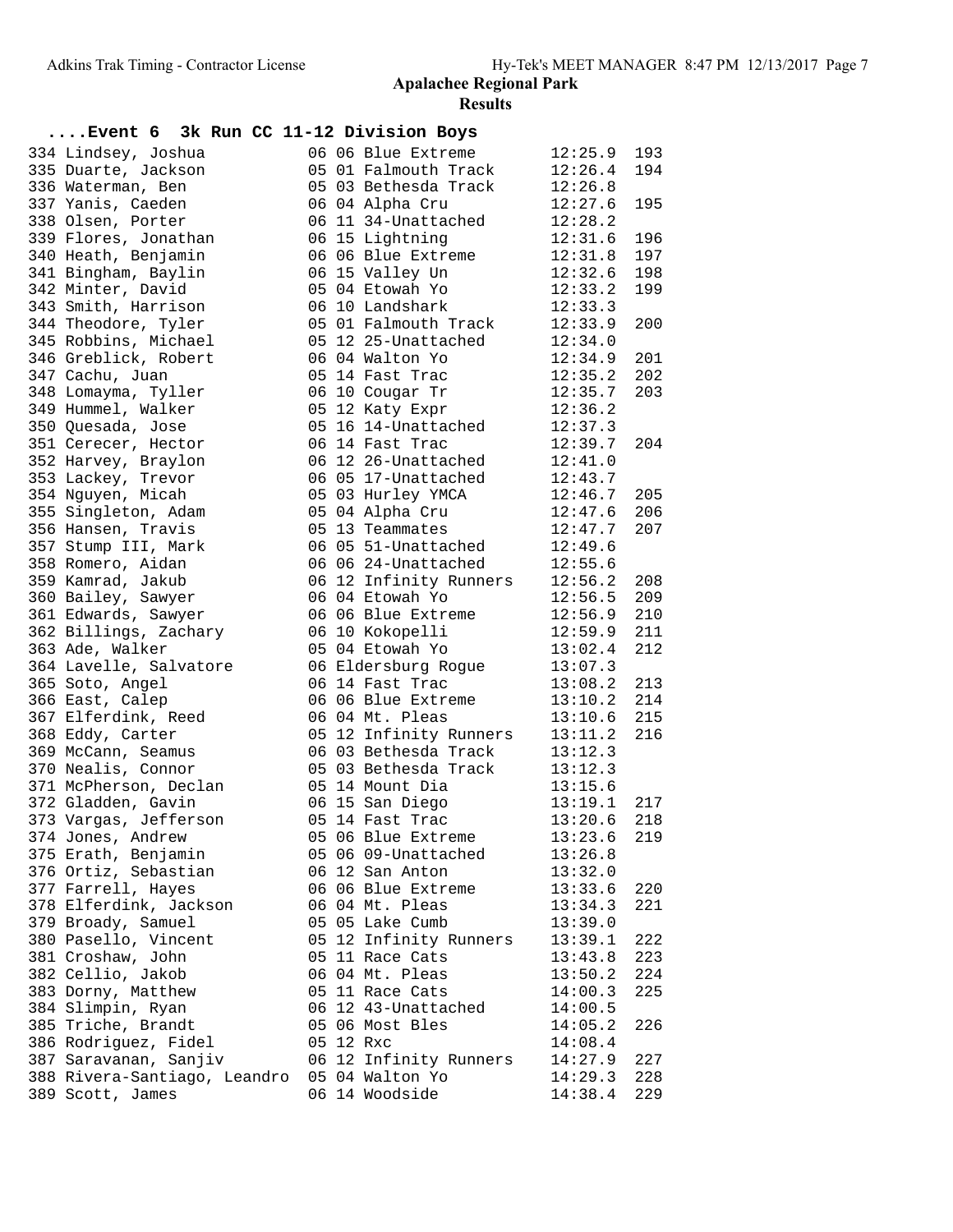| Event 6 3k Run CC 11-12 Division Boys        |  |                        |                    |     |
|----------------------------------------------|--|------------------------|--------------------|-----|
| 334 Lindsey, Joshua                          |  | 06 06 Blue Extreme     | 12:25.9            | 193 |
| 335 Duarte, Jackson                          |  | 05 01 Falmouth Track   | 12:26.4            | 194 |
| 336 Waterman, Ben                            |  | 05 03 Bethesda Track   | 12:26.8            |     |
| 337 Yanis, Caeden                            |  | 06 04 Alpha Cru        | 12:27.6            | 195 |
| 338 Olsen, Porter                            |  | 06 11 34-Unattached    | 12:28.2            |     |
| 339 Flores, Jonathan                         |  | 06 15 Lightning        | 12:31.6            | 196 |
| 340 Heath, Benjamin                          |  | 06 06 Blue Extreme     | 12:31.8            | 197 |
| 341 Bingham, Baylin                          |  | 06 15 Valley Un        | 12:32.6            | 198 |
| 342 Minter, David                            |  | 05 04 Etowah Yo        | 12:33.2            | 199 |
| 343 Smith, Harrison                          |  | 06 10 Landshark        | 12:33.3            |     |
| 344 Theodore, Tyler                          |  | 05 01 Falmouth Track   | 12:33.9            | 200 |
| 345 Robbins, Michael                         |  | 05 12 25-Unattached    | 12:34.0            |     |
| 346 Greblick, Robert                         |  | 06 04 Walton Yo        | 12:34.9            | 201 |
| 347 Cachu, Juan                              |  | 05 14 Fast Trac        | 12:35.2            | 202 |
| 348 Lomayma, Tyller                          |  | 06 10 Cougar Tr        |                    | 203 |
| 349 Hummel, Walker                           |  | 05 12 Katy Expr        | 12:35.7<br>12:36.2 |     |
| 350 Quesada, Jose                            |  | 05 16 14-Unattached    | 12:37.3            |     |
| 351 Cerecer, Hector                          |  | 06 14 Fast Trac        | 12:39.7            | 204 |
| 352 Harvey, Braylon                          |  | 06 12 26-Unattached    | 12:41.0            |     |
| 353 Lackey, Trevor                           |  | 06 05 17-Unattached    | 12:43.7            |     |
| 354 Nguyen, Micah                            |  | 05 03 Hurley YMCA      | 12:46.7            | 205 |
| 355 Singleton, Adam                          |  | 05 04 Alpha Cru        | 12:47.6            | 206 |
| 356 Hansen, Travis                           |  | 05 13 Teammates        | 12:47.7            | 207 |
| 357 Stump III, Mark                          |  | 06 05 51-Unattached    | 12:49.6            |     |
| 358 Romero, Aidan                            |  | 06 06 24-Unattached    | 12:55.6            |     |
| 359 Kamrad, Jakub                            |  | 06 12 Infinity Runners | 12:56.2            | 208 |
| 360 Bailey, Sawyer                           |  | 06 04 Etowah Yo        | 12:56.5            | 209 |
| 361 Edwards, Sawyer                          |  | 06 06 Blue Extreme     | 12:56.9            | 210 |
| 362 Billings, Zachary                        |  | 06 10 Kokopelli        | 12:59.9            | 211 |
| 363 Ade, Walker                              |  | 05 04 Etowah Yo        | 13:02.4            | 212 |
| 364 Lavelle, Salvatore                       |  | 06 Eldersburg Rogue    | 13:07.3            |     |
| 365 Soto, Angel                              |  | 06 14 Fast Trac        | 13:08.2            | 213 |
| 366 East, Calep                              |  | 06 06 Blue Extreme     | 13:10.2            | 214 |
| 367 Elferdink, Reed                          |  | 06 04 Mt. Pleas        | 13:10.6            | 215 |
| 368 Eddy, Carter                             |  | 05 12 Infinity Runners | 13:11.2            | 216 |
| 369 McCann, Seamus                           |  | 06 03 Bethesda Track   | 13:12.3            |     |
| 370 Nealis, Connor                           |  | 05 03 Bethesda Track   | 13:12.3            |     |
| 371 McPherson, Declan                        |  | 05 14 Mount Dia        | 13:15.6            |     |
| 372 Gladden, Gavin                           |  | 06 15 San Diego        | 13:19.1            | 217 |
| 373 Vargas, Jefferson                        |  | 05 14 Fast Trac        | $13:20.6$ 218      |     |
| 374 Jones, Andrew                            |  | 05 06 Blue Extreme     | 13:23.6            | 219 |
| 375 Erath, Benjamin                          |  | 05 06 09-Unattached    | 13:26.8            |     |
| 376 Ortiz, Sebastian                         |  | 06 12 San Anton        | 13:32.0            |     |
| 377 Farrell, Hayes                           |  | 06 06 Blue Extreme     | 13:33.6            | 220 |
| 378 Elferdink, Jackson                       |  | 06 04 Mt. Pleas        | 13:34.3            | 221 |
| 379 Broady, Samuel                           |  | 05 05 Lake Cumb        | 13:39.0            |     |
| 380 Pasello, Vincent                         |  | 05 12 Infinity Runners | 13:39.1            | 222 |
| 381 Croshaw, John                            |  | 05 11 Race Cats        | 13:43.8            | 223 |
| 382 Cellio, Jakob                            |  | 06 04 Mt. Pleas        | 13:50.2            | 224 |
| 383 Dorny, Matthew                           |  | 05 11 Race Cats        | 14:00.3            | 225 |
| 384 Slimpin, Ryan                            |  | 06 12 43-Unattached    | 14:00.5            |     |
| 385 Triche, Brandt                           |  | 05 06 Most Bles        | 14:05.2            | 226 |
| 386 Rodriguez, Fidel                         |  | 05 12 Rxc              | 14:08.4            |     |
| 387 Saravanan, Sanjiv                        |  | 06 12 Infinity Runners | 14:27.9            | 227 |
| 388 Rivera-Santiago, Leandro 05 04 Walton Yo |  |                        | 14:29.3            | 228 |
| 389 Scott, James                             |  | 06 14 Woodside         | 14:38.4            | 229 |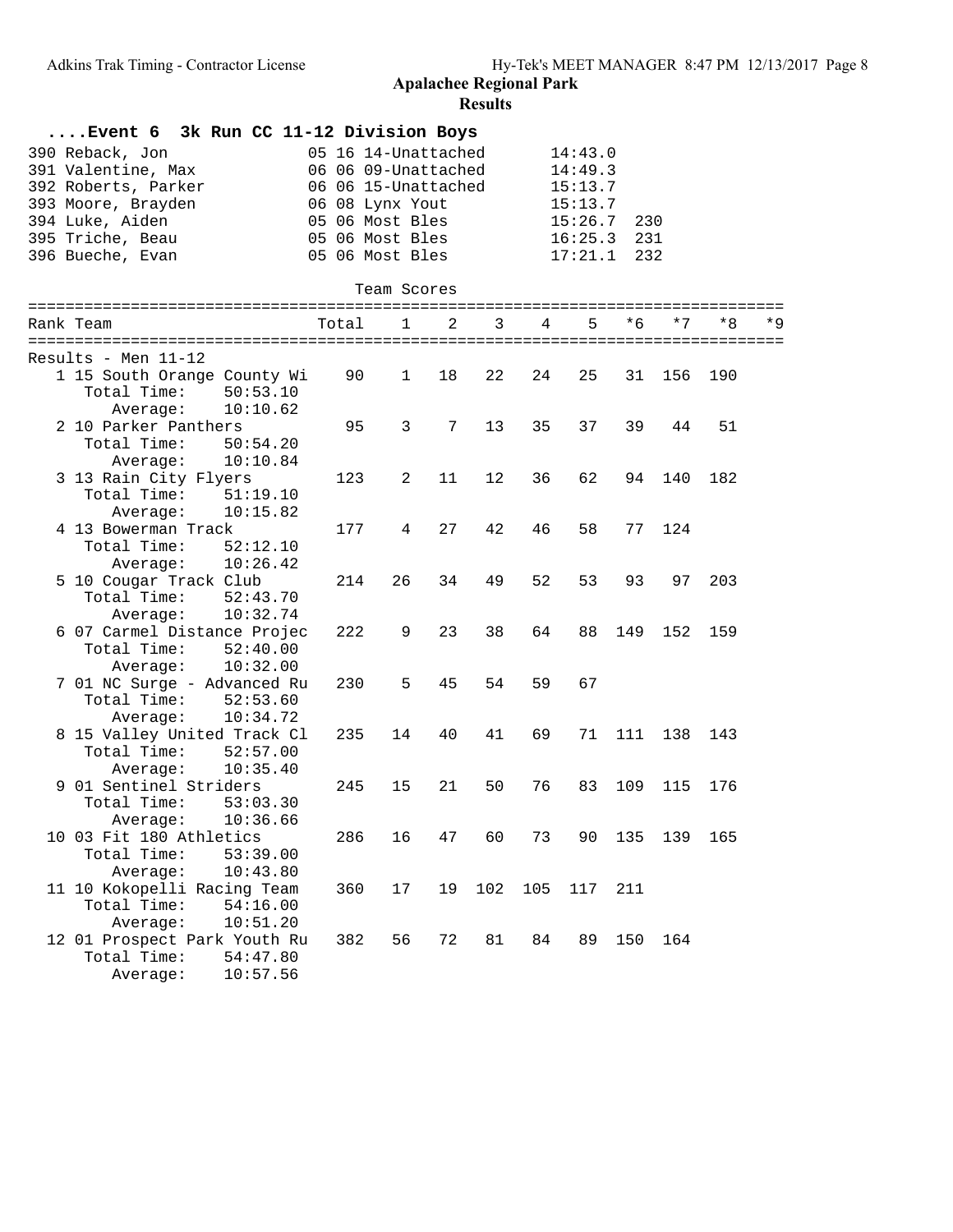| 3k Run CC 11-12 Division Boys<br>Event 6              |       |                     |    |     |     |         |     |      |     |      |
|-------------------------------------------------------|-------|---------------------|----|-----|-----|---------|-----|------|-----|------|
| 390 Reback, Jon                                       |       | 05 16 14-Unattached |    |     |     | 14:43.0 |     |      |     |      |
| 391 Valentine, Max                                    |       | 06 06 09-Unattached |    |     |     | 14:49.3 |     |      |     |      |
| 392 Roberts, Parker<br>06 06 15-Unattached<br>15:13.7 |       |                     |    |     |     |         |     |      |     |      |
| 393 Moore, Brayden                                    |       | 06 08 Lynx Yout     |    |     |     | 15:13.7 |     |      |     |      |
| 394 Luke, Aiden                                       |       | 05 06 Most Bles     |    |     |     | 15:26.7 | 230 |      |     |      |
| 395 Triche, Beau                                      |       | 05 06 Most Bles     |    |     |     | 16:25.3 | 231 |      |     |      |
| 396 Bueche, Evan                                      |       | 05 06 Most Bles     |    |     |     | 17:21.1 | 232 |      |     |      |
|                                                       |       |                     |    |     |     |         |     |      |     |      |
|                                                       |       | Team Scores         |    |     |     |         |     |      |     |      |
|                                                       |       |                     |    |     |     |         |     |      |     |      |
| Rank Team                                             | Total | $\mathbf{1}$        | 2  | 3   | 4   | 5       | * 6 | $*7$ | *8  | $*9$ |
|                                                       |       |                     |    |     |     |         |     |      |     |      |
| $Results - Men 11-12$                                 |       |                     |    |     |     |         |     |      |     |      |
| 1 15 South Orange County Wi                           | 90    | $\mathbf{1}$        | 18 | 22  | 24  | 25      | 31  | 156  | 190 |      |
| Total Time:<br>50:53.10                               |       |                     |    |     |     |         |     |      |     |      |
| 10:10.62<br>Average:                                  |       |                     |    |     |     |         |     |      |     |      |
| 2 10 Parker Panthers                                  | 95    | 3                   | 7  | 13  | 35  | 37      | 39  | 44   | 51  |      |
| Total Time:<br>50:54.20                               |       |                     |    |     |     |         |     |      |     |      |
| 10:10.84<br>Average:                                  |       |                     |    |     |     |         |     |      |     |      |
| 3 13 Rain City Flyers                                 | 123   | 2                   | 11 | 12  | 36  | 62      | 94  | 140  | 182 |      |
| Total Time:<br>51:19.10                               |       |                     |    |     |     |         |     |      |     |      |
| 10:15.82<br>Average:                                  |       |                     |    |     |     |         |     |      |     |      |
| 4 13 Bowerman Track                                   | 177   | 4                   | 27 | 42  | 46  | 58      | 77  | 124  |     |      |
| 52:12.10<br>Total Time:                               |       |                     |    |     |     |         |     |      |     |      |
| 10:26.42<br>Average:                                  |       |                     |    |     |     |         |     |      |     |      |
| 5 10 Cougar Track Club                                | 214   | 26                  | 34 | 49  | 52  | 53      | 93  | 97   | 203 |      |
| Total Time:<br>52:43.70                               |       |                     |    |     |     |         |     |      |     |      |
| 10:32.74<br>Average:                                  |       |                     |    |     |     |         |     |      |     |      |
| 6 07 Carmel Distance Projec                           | 222   | 9                   | 23 | 38  | 64  | 88      | 149 | 152  | 159 |      |
| Total Time:<br>52:40.00                               |       |                     |    |     |     |         |     |      |     |      |
| 10:32.00<br>Average:                                  |       |                     |    |     |     |         |     |      |     |      |
| 7 01 NC Surge - Advanced Ru                           | 230   | 5                   | 45 | 54  | 59  | 67      |     |      |     |      |
| Total Time:<br>52:53.60                               |       |                     |    |     |     |         |     |      |     |      |
| 10:34.72<br>Average:                                  |       |                     |    |     |     |         |     |      |     |      |
| 8 15 Valley United Track Cl                           | 235   | 14                  | 40 | 41  | 69  | 71      | 111 | 138  | 143 |      |
| Total Time:<br>52:57.00                               |       |                     |    |     |     |         |     |      |     |      |
| 10:35.40<br>Average:                                  |       |                     |    |     |     |         |     |      |     |      |
| 9 01 Sentinel Striders                                | 245   | 15                  | 21 | 50  | 76  | 83      | 109 | 115  | 176 |      |
| Total Time:<br>53:03.30                               |       |                     |    |     |     |         |     |      |     |      |
| Average: 10:36.66                                     |       |                     |    |     |     |         |     |      |     |      |
| 10 03 Fit 180 Athletics                               | 286   | 16                  | 47 | 60  | 73  | 90      | 135 | 139  | 165 |      |
| Total Time:<br>53:39.00                               |       |                     |    |     |     |         |     |      |     |      |
| Average:<br>10:43.80                                  |       |                     |    |     |     |         |     |      |     |      |
| 11 10 Kokopelli Racing Team                           | 360   | 17                  | 19 | 102 | 105 | 117     | 211 |      |     |      |
| Total Time:<br>54:16.00                               |       |                     |    |     |     |         |     |      |     |      |
| 10:51.20<br>Average:                                  |       |                     |    |     |     |         |     |      |     |      |
| 12 01 Prospect Park Youth Ru                          | 382   | 56                  | 72 | 81  | 84  | 89      | 150 | 164  |     |      |
| Total Time:<br>54:47.80                               |       |                     |    |     |     |         |     |      |     |      |
| 10:57.56<br>Average:                                  |       |                     |    |     |     |         |     |      |     |      |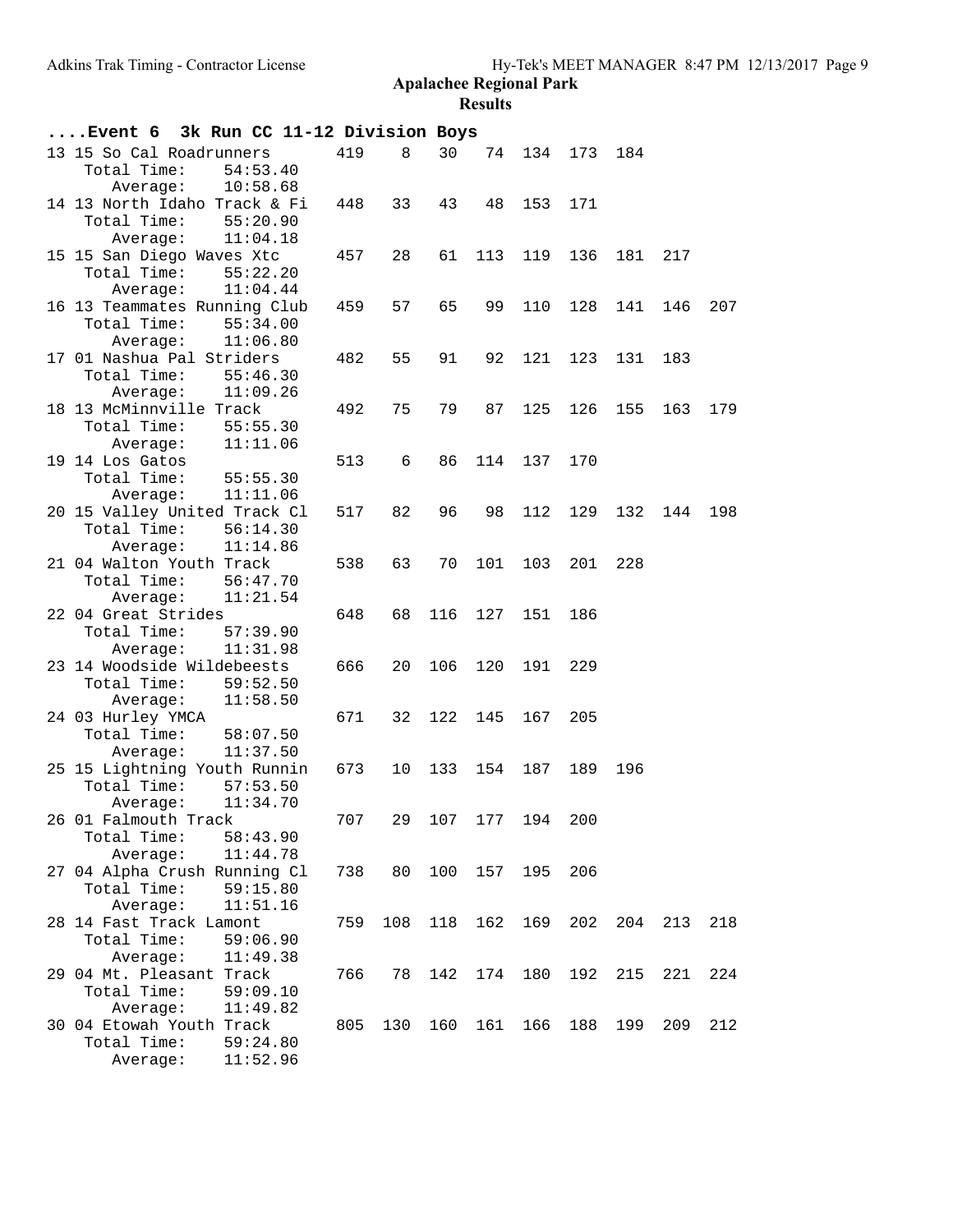| Event 6 3k Run CC 11-12 Division Boys                   |                      |     |     |     |                |     |     |     |     |     |
|---------------------------------------------------------|----------------------|-----|-----|-----|----------------|-----|-----|-----|-----|-----|
| 13 15 So Cal Roadrunners<br>Total Time:<br>Average:     | 54:53.40<br>10:58.68 | 419 | 8   | 30  | 74             | 134 | 173 | 184 |     |     |
| 14 13 North Idaho Track & Fi<br>Total Time:<br>Average: | 55:20.90<br>11:04.18 | 448 | 33  | 43  | 48             | 153 | 171 |     |     |     |
| 15 15 San Diego Waves Xtc<br>Total Time:<br>Average:    | 55:22.20<br>11:04.44 | 457 | 28  | 61  | 113            | 119 | 136 | 181 | 217 |     |
| 16 13 Teammates Running Club<br>Total Time:<br>Average: | 55:34.00<br>11:06.80 | 459 | 57  | 65  | 99             | 110 | 128 | 141 | 146 | 207 |
| 17 01 Nashua Pal Striders<br>Total Time:<br>Average:    | 55:46.30<br>11:09.26 | 482 | 55  | 91  | 92             | 121 | 123 | 131 | 183 |     |
| 18 13 McMinnville Track<br>Total Time:<br>Average:      | 55:55.30<br>11:11.06 | 492 | 75  | 79  | 87             | 125 | 126 | 155 | 163 | 179 |
| 19 14 Los Gatos<br>Total Time:<br>Average:              | 55:55.30<br>11:11.06 | 513 | 6   | 86  | 114            | 137 | 170 |     |     |     |
| 20 15 Valley United Track Cl<br>Total Time:<br>Average: | 56:14.30<br>11:14.86 | 517 | 82  | 96  | 98             | 112 | 129 | 132 | 144 | 198 |
| 21 04 Walton Youth Track<br>Total Time:<br>Average:     | 56:47.70<br>11:21.54 | 538 | 63  | 70  | 101            | 103 | 201 | 228 |     |     |
| 22 04 Great Strides<br>Total Time:<br>Average:          | 57:39.90<br>11:31.98 | 648 | 68  | 116 | 127            | 151 | 186 |     |     |     |
| 23 14 Woodside Wildebeests<br>Total Time:<br>Average:   | 59:52.50<br>11:58.50 | 666 | 20  | 106 | 120            | 191 | 229 |     |     |     |
| 24 03 Hurley YMCA<br>Total Time:<br>Average:            | 58:07.50<br>11:37.50 | 671 | 32  | 122 | 145            | 167 | 205 |     |     |     |
| 25 15 Lightning Youth Runnin<br>Total Time:<br>Average: | 57:53.50<br>11:34.70 | 673 | 10  |     | 133 154        | 187 | 189 | 196 |     |     |
| 26 01 Falmouth Track<br>Total Time:<br>Average:         | 58:43.90<br>11:44.78 | 707 |     |     | 29 107 177 194 |     | 200 |     |     |     |
| 27 04 Alpha Crush Running Cl<br>Total Time:<br>Average: | 59:15.80<br>11:51.16 | 738 | 80  | 100 | 157            | 195 | 206 |     |     |     |
| 28 14 Fast Track Lamont<br>Total Time:<br>Average:      | 59:06.90<br>11:49.38 | 759 | 108 | 118 | 162            | 169 | 202 | 204 | 213 | 218 |
| 29 04 Mt. Pleasant Track<br>Total Time:<br>Average:     | 59:09.10<br>11:49.82 | 766 | 78  | 142 | 174            | 180 | 192 | 215 | 221 | 224 |
| 30 04 Etowah Youth Track<br>Total Time:<br>Average:     | 59:24.80<br>11:52.96 | 805 | 130 | 160 | 161            | 166 | 188 | 199 | 209 | 212 |